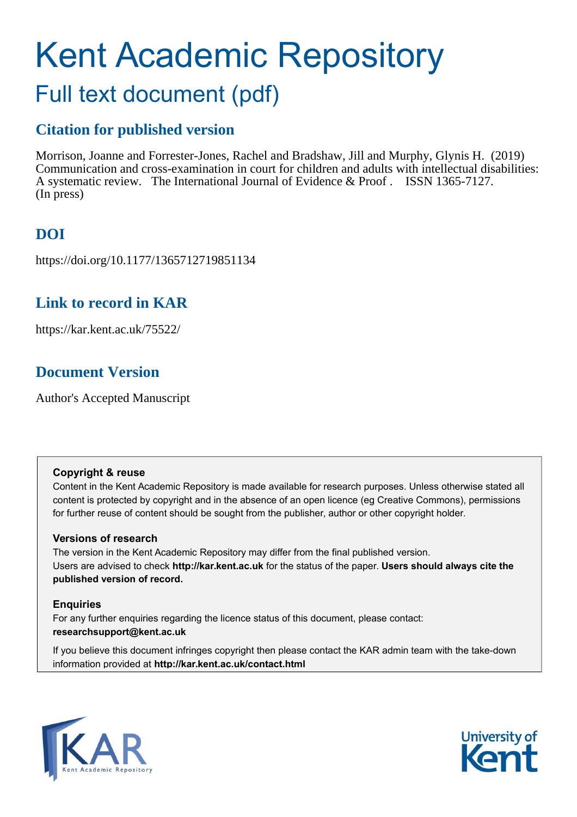# Kent Academic Repository Full text document (pdf)

### **Citation for published version**

Morrison, Joanne and Forrester-Jones, Rachel and Bradshaw, Jill and Murphy, Glynis H. (2019) Communication and cross-examination in court for children and adults with intellectual disabilities: A systematic review. The International Journal of Evidence & Proof . ISSN 1365-7127. (In press)

### **DOI**

https://doi.org/10.1177/1365712719851134

### **Link to record in KAR**

https://kar.kent.ac.uk/75522/

### **Document Version**

Author's Accepted Manuscript

#### **Copyright & reuse**

Content in the Kent Academic Repository is made available for research purposes. Unless otherwise stated all content is protected by copyright and in the absence of an open licence (eg Creative Commons), permissions for further reuse of content should be sought from the publisher, author or other copyright holder.

#### **Versions of research**

The version in the Kent Academic Repository may differ from the final published version. Users are advised to check **http://kar.kent.ac.uk** for the status of the paper. **Users should always cite the published version of record.**

#### **Enquiries**

For any further enquiries regarding the licence status of this document, please contact: **researchsupport@kent.ac.uk**

If you believe this document infringes copyright then please contact the KAR admin team with the take-down information provided at **http://kar.kent.ac.uk/contact.html**



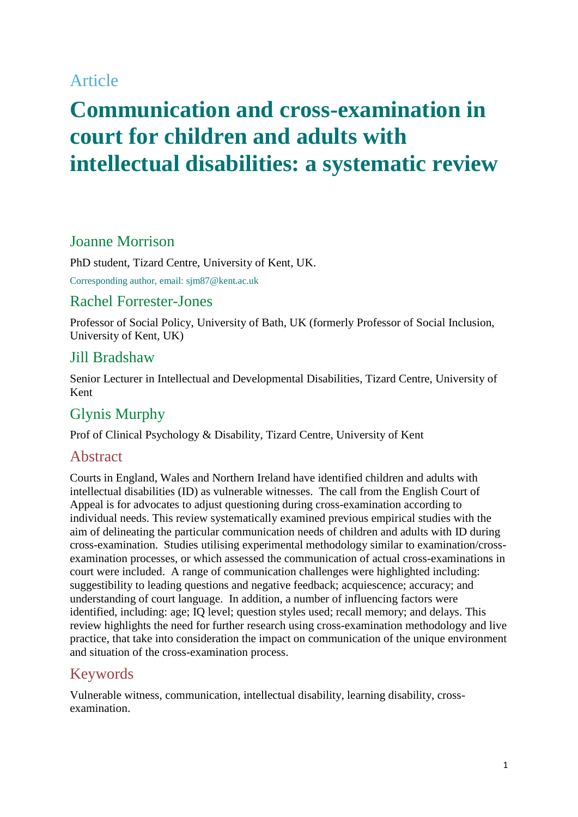### Article

## **Communication and cross-examination in court for children and adults with intellectual disabilities: a systematic review**

### Joanne Morrison

PhD student, Tizard Centre, University of Kent, UK.

Corresponding author, email: sjm87@kent.ac.uk

#### Rachel Forrester-Jones

Professor of Social Policy, University of Bath, UK (formerly Professor of Social Inclusion, University of Kent, UK)

#### Jill Bradshaw

Senior Lecturer in Intellectual and Developmental Disabilities, Tizard Centre, University of Kent

### Glynis Murphy

Prof of Clinical Psychology & Disability, Tizard Centre, University of Kent

#### Abstract

Courts in England, Wales and Northern Ireland have identified children and adults with intellectual disabilities (ID) as vulnerable witnesses. The call from the English Court of Appeal is for advocates to adjust questioning during cross-examination according to individual needs. This review systematically examined previous empirical studies with the aim of delineating the particular communication needs of children and adults with ID during cross-examination. Studies utilising experimental methodology similar to examination/crossexamination processes, or which assessed the communication of actual cross-examinations in court were included. A range of communication challenges were highlighted including: suggestibility to leading questions and negative feedback; acquiescence; accuracy; and understanding of court language. In addition, a number of influencing factors were identified, including: age; IQ level; question styles used; recall memory; and delays. This review highlights the need for further research using cross-examination methodology and live practice, that take into consideration the impact on communication of the unique environment and situation of the cross-examination process.

### Keywords

Vulnerable witness, communication, intellectual disability, learning disability, crossexamination.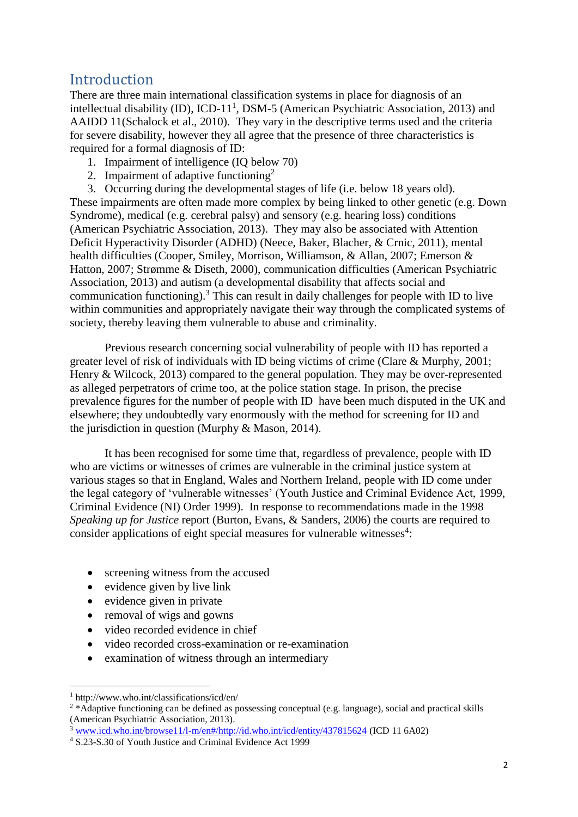### Introduction

There are three main international classification systems in place for diagnosis of an intellectual disability (ID), ICD-11<sup>1</sup>, DSM-5 (American Psychiatric Association, 2013) and AAIDD 11(Schalock et al., 2010). They vary in the descriptive terms used and the criteria for severe disability, however they all agree that the presence of three characteristics is required for a formal diagnosis of ID:

- 1. Impairment of intelligence (IQ below 70)
- 2. Impairment of adaptive functioning<sup>2</sup>

3. Occurring during the developmental stages of life (i.e. below 18 years old). These impairments are often made more complex by being linked to other genetic (e.g. Down Syndrome), medical (e.g. cerebral palsy) and sensory (e.g. hearing loss) conditions (American Psychiatric Association, 2013). They may also be associated with Attention Deficit Hyperactivity Disorder (ADHD) (Neece, Baker, Blacher, & Crnic, 2011), mental health difficulties (Cooper, Smiley, Morrison, Williamson, & Allan, 2007; Emerson & Hatton, 2007; Strømme & Diseth, 2000), communication difficulties (American Psychiatric Association, 2013) and autism (a developmental disability that affects social and communication functioning). <sup>3</sup> This can result in daily challenges for people with ID to live within communities and appropriately navigate their way through the complicated systems of society, thereby leaving them vulnerable to abuse and criminality.

Previous research concerning social vulnerability of people with ID has reported a greater level of risk of individuals with ID being victims of crime (Clare & Murphy, 2001; Henry & Wilcock, 2013) compared to the general population. They may be over-represented as alleged perpetrators of crime too, at the police station stage. In prison, the precise prevalence figures for the number of people with ID have been much disputed in the UK and elsewhere; they undoubtedly vary enormously with the method for screening for ID and the jurisdiction in question (Murphy & Mason, 2014).

It has been recognised for some time that, regardless of prevalence, people with ID who are victims or witnesses of crimes are vulnerable in the criminal justice system at various stages so that in England, Wales and Northern Ireland, people with ID come under the legal category of 'vulnerable witnesses' (Youth Justice and Criminal Evidence Act, 1999, Criminal Evidence (NI) Order 1999). In response to recommendations made in the 1998 *Speaking up for Justice* report (Burton, Evans, & Sanders, 2006) the courts are required to consider applications of eight special measures for vulnerable witnesses<sup>4</sup>:

- screening witness from the accused
- evidence given by live link
- evidence given in private
- removal of wigs and gowns
- video recorded evidence in chief
- video recorded cross-examination or re-examination
- examination of witness through an intermediary

<u>.</u>

<sup>1</sup> http://www.who.int/classifications/icd/en/

<sup>&</sup>lt;sup>2</sup> \*Adaptive functioning can be defined as possessing conceptual (e.g. language), social and practical skills (American Psychiatric Association, 2013).

 $3$  [www.icd.who.int/browse11/l-m/en#/http://id.who.int/icd/entity/437815624](http://www.icd.who.int/browse11/l-m/en#/http://id.who.int/icd/entity/437815624) (ICD 11 6A02)

<sup>4</sup> S.23-S.30 of Youth Justice and Criminal Evidence Act 1999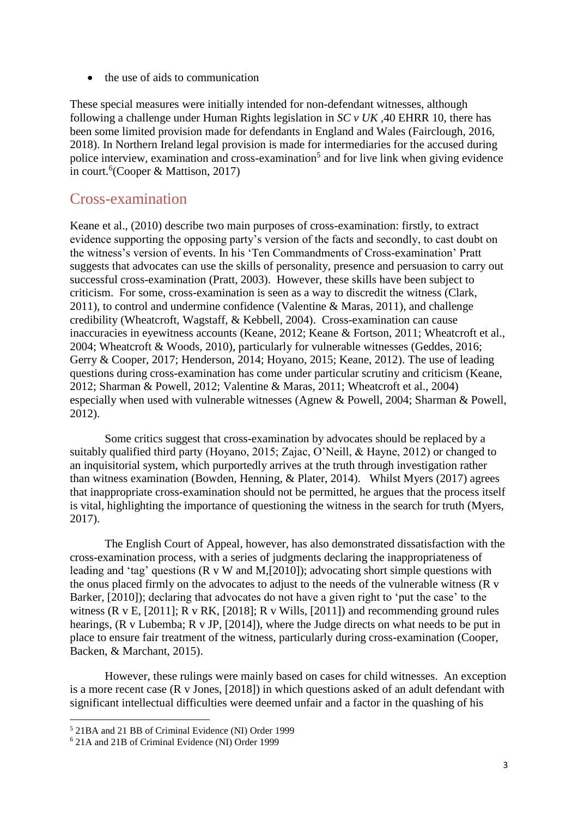• the use of aids to communication

These special measures were initially intended for non-defendant witnesses, although following a challenge under Human Rights legislation in *SC v UK* ,40 EHRR 10, there has been some limited provision made for defendants in England and Wales (Fairclough, 2016, 2018). In Northern Ireland legal provision is made for intermediaries for the accused during police interview, examination and cross-examination<sup>5</sup> and for live link when giving evidence in court. 6 (Cooper & Mattison, 2017)

#### Cross-examination

Keane et al., (2010) describe two main purposes of cross-examination: firstly, to extract evidence supporting the opposing party's version of the facts and secondly, to cast doubt on the witness's version of events. In his 'Ten Commandments of Cross-examination' Pratt suggests that advocates can use the skills of personality, presence and persuasion to carry out successful cross-examination (Pratt, 2003). However, these skills have been subject to criticism. For some, cross-examination is seen as a way to discredit the witness (Clark, 2011), to control and undermine confidence (Valentine & Maras, 2011), and challenge credibility (Wheatcroft, Wagstaff, & Kebbell, 2004). Cross-examination can cause inaccuracies in eyewitness accounts (Keane, 2012; Keane & Fortson, 2011; Wheatcroft et al., 2004; Wheatcroft & Woods, 2010), particularly for vulnerable witnesses (Geddes, 2016; Gerry & Cooper, 2017; Henderson, 2014; Hoyano, 2015; Keane, 2012). The use of leading questions during cross-examination has come under particular scrutiny and criticism (Keane, 2012; Sharman & Powell, 2012; Valentine & Maras, 2011; Wheatcroft et al., 2004) especially when used with vulnerable witnesses (Agnew & Powell, 2004; Sharman & Powell, 2012).

Some critics suggest that cross-examination by advocates should be replaced by a suitably qualified third party (Hoyano, 2015; Zajac, O'Neill, & Hayne, 2012) or changed to an inquisitorial system, which purportedly arrives at the truth through investigation rather than witness examination (Bowden, Henning, & Plater, 2014). Whilst Myers (2017) agrees that inappropriate cross-examination should not be permitted, he argues that the process itself is vital, highlighting the importance of questioning the witness in the search for truth (Myers, 2017).

The English Court of Appeal, however, has also demonstrated dissatisfaction with the cross-examination process, with a series of judgments declaring the inappropriateness of leading and 'tag' questions (R v W and M,[2010]); advocating short simple questions with the onus placed firmly on the advocates to adjust to the needs of the vulnerable witness (R v Barker, [2010]); declaring that advocates do not have a given right to 'put the case' to the witness (R v E, [2011]; R v RK, [2018]; R v Wills, [2011]) and recommending ground rules hearings, (R v Lubemba; R v JP, [2014]), where the Judge directs on what needs to be put in place to ensure fair treatment of the witness, particularly during cross-examination (Cooper, Backen, & Marchant, 2015).

However, these rulings were mainly based on cases for child witnesses. An exception is a more recent case (R v Jones, [2018]) in which questions asked of an adult defendant with significant intellectual difficulties were deemed unfair and a factor in the quashing of his

1

<sup>5</sup> 21BA and 21 BB of Criminal Evidence (NI) Order 1999

<sup>6</sup> 21A and 21B of Criminal Evidence (NI) Order 1999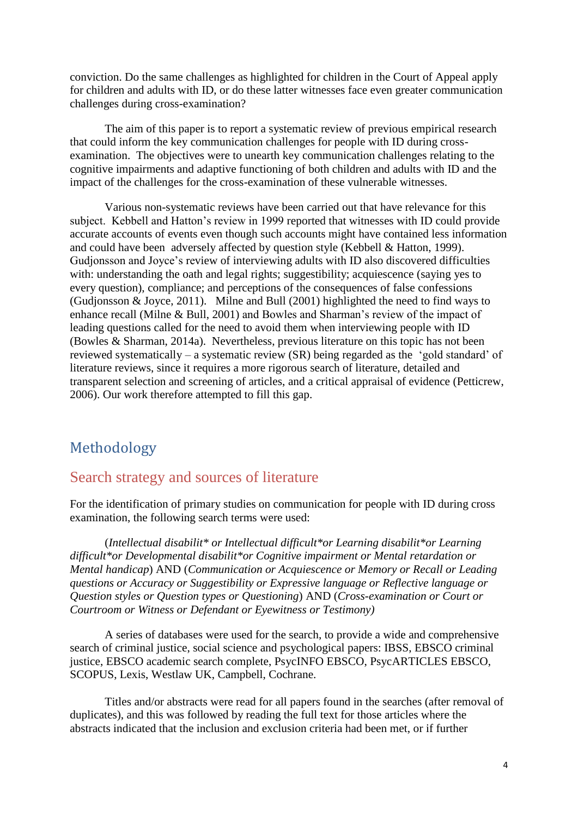conviction. Do the same challenges as highlighted for children in the Court of Appeal apply for children and adults with ID, or do these latter witnesses face even greater communication challenges during cross-examination?

The aim of this paper is to report a systematic review of previous empirical research that could inform the key communication challenges for people with ID during crossexamination. The objectives were to unearth key communication challenges relating to the cognitive impairments and adaptive functioning of both children and adults with ID and the impact of the challenges for the cross-examination of these vulnerable witnesses.

Various non-systematic reviews have been carried out that have relevance for this subject. Kebbell and Hatton's review in 1999 reported that witnesses with ID could provide accurate accounts of events even though such accounts might have contained less information and could have been adversely affected by question style (Kebbell & Hatton, 1999). Gudjonsson and Joyce's review of interviewing adults with ID also discovered difficulties with: understanding the oath and legal rights; suggestibility; acquiescence (saying yes to every question), compliance; and perceptions of the consequences of false confessions (Gudjonsson & Joyce, 2011). Milne and Bull (2001) highlighted the need to find ways to enhance recall (Milne & Bull, 2001) and Bowles and Sharman's review of the impact of leading questions called for the need to avoid them when interviewing people with ID (Bowles & Sharman, 2014a). Nevertheless, previous literature on this topic has not been reviewed systematically – a systematic review (SR) being regarded as the 'gold standard' of literature reviews, since it requires a more rigorous search of literature, detailed and transparent selection and screening of articles, and a critical appraisal of evidence (Petticrew, 2006). Our work therefore attempted to fill this gap.

### Methodology

### Search strategy and sources of literature

For the identification of primary studies on communication for people with ID during cross examination, the following search terms were used:

(*Intellectual disabilit\* or Intellectual difficult\*or Learning disabilit\*or Learning difficult\*or Developmental disabilit\*or Cognitive impairment or Mental retardation or Mental handicap*) AND (*Communication or Acquiescence or Memory or Recall or Leading questions or Accuracy or Suggestibility or Expressive language or Reflective language or Question styles or Question types or Questioning*) AND (*Cross-examination or Court or Courtroom or Witness or Defendant or Eyewitness or Testimony)*

A series of databases were used for the search, to provide a wide and comprehensive search of criminal justice, social science and psychological papers: IBSS, EBSCO criminal justice, EBSCO academic search complete, PsycINFO EBSCO, PsycARTICLES EBSCO, SCOPUS, Lexis, Westlaw UK, Campbell, Cochrane.

Titles and/or abstracts were read for all papers found in the searches (after removal of duplicates), and this was followed by reading the full text for those articles where the abstracts indicated that the inclusion and exclusion criteria had been met, or if further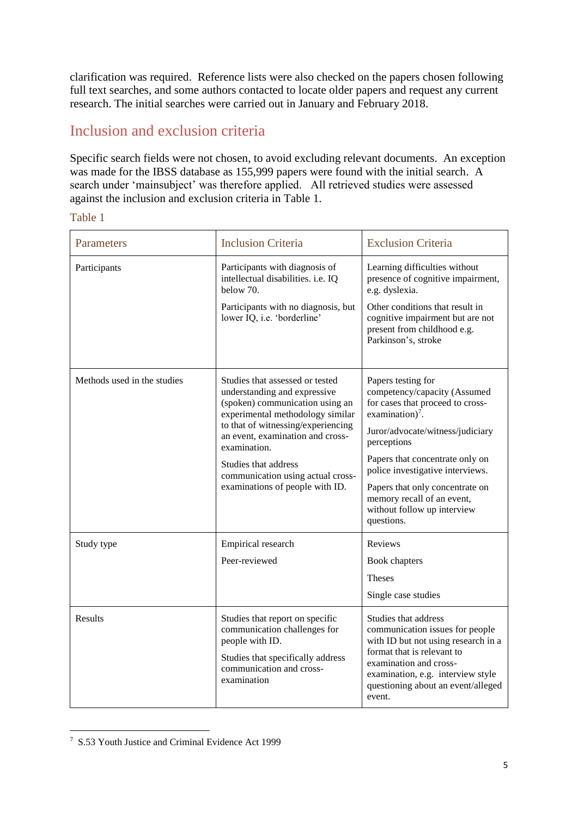clarification was required. Reference lists were also checked on the papers chosen following full text searches, and some authors contacted to locate older papers and request any current research. The initial searches were carried out in January and February 2018.

### Inclusion and exclusion criteria

Specific search fields were not chosen, to avoid excluding relevant documents. An exception was made for the IBSS database as 155,999 papers were found with the initial search. A search under 'mainsubject' was therefore applied. All retrieved studies were assessed against the inclusion and exclusion criteria in Table 1.

#### Table 1

| Parameters                  | <b>Inclusion Criteria</b>                                                                                                                                                                                                                                                                                                        | <b>Exclusion Criteria</b>                                                                                                                                                                                                                                                                                                                                     |
|-----------------------------|----------------------------------------------------------------------------------------------------------------------------------------------------------------------------------------------------------------------------------------------------------------------------------------------------------------------------------|---------------------------------------------------------------------------------------------------------------------------------------------------------------------------------------------------------------------------------------------------------------------------------------------------------------------------------------------------------------|
| Participants                | Participants with diagnosis of<br>intellectual disabilities. i.e. IQ<br>below 70.<br>Participants with no diagnosis, but<br>lower IQ, i.e. 'borderline'                                                                                                                                                                          | Learning difficulties without<br>presence of cognitive impairment,<br>e.g. dyslexia.<br>Other conditions that result in<br>cognitive impairment but are not<br>present from childhood e.g.<br>Parkinson's, stroke                                                                                                                                             |
| Methods used in the studies | Studies that assessed or tested<br>understanding and expressive<br>(spoken) communication using an<br>experimental methodology similar<br>to that of witnessing/experiencing<br>an event, examination and cross-<br>examination.<br>Studies that address<br>communication using actual cross-<br>examinations of people with ID. | Papers testing for<br>competency/capacity (Assumed<br>for cases that proceed to cross-<br>examination) <sup>7</sup> .<br>Juror/advocate/witness/judiciary<br>perceptions<br>Papers that concentrate only on<br>police investigative interviews.<br>Papers that only concentrate on<br>memory recall of an event,<br>without follow up interview<br>questions. |
| Study type                  | Empirical research<br>Peer-reviewed                                                                                                                                                                                                                                                                                              | Reviews<br>Book chapters<br><b>Theses</b><br>Single case studies                                                                                                                                                                                                                                                                                              |
| <b>Results</b>              | Studies that report on specific<br>communication challenges for<br>people with ID.<br>Studies that specifically address<br>communication and cross-<br>examination                                                                                                                                                               | Studies that address<br>communication issues for people<br>with ID but not using research in a<br>format that is relevant to<br>examination and cross-<br>examination, e.g. interview style<br>questioning about an event/alleged<br>event.                                                                                                                   |

 7 S.53 Youth Justice and Criminal Evidence Act 1999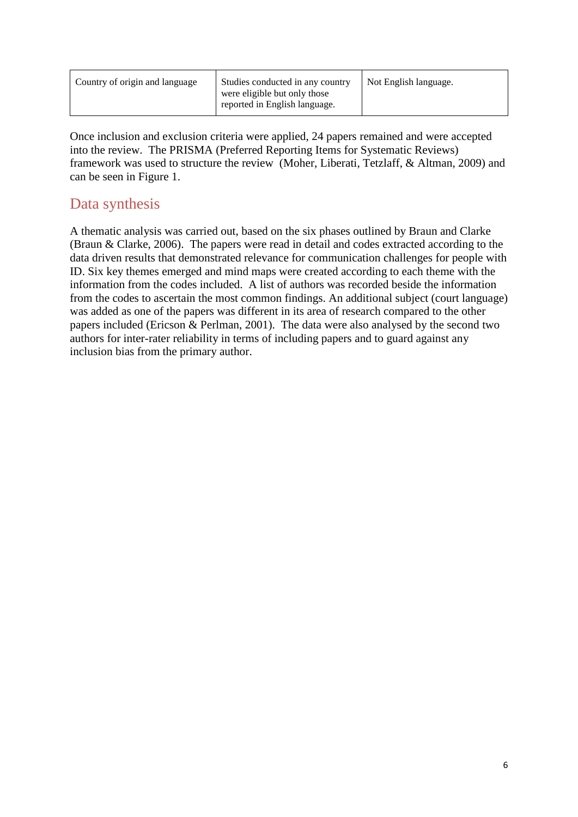| Country of origin and language | Studies conducted in any country<br>were eligible but only those<br>reported in English language. | Not English language. |
|--------------------------------|---------------------------------------------------------------------------------------------------|-----------------------|
|--------------------------------|---------------------------------------------------------------------------------------------------|-----------------------|

Once inclusion and exclusion criteria were applied, 24 papers remained and were accepted into the review. The PRISMA (Preferred Reporting Items for Systematic Reviews) framework was used to structure the review (Moher, Liberati, Tetzlaff, & Altman, 2009) and can be seen in Figure 1.

### Data synthesis

A thematic analysis was carried out, based on the six phases outlined by Braun and Clarke (Braun & Clarke, 2006). The papers were read in detail and codes extracted according to the data driven results that demonstrated relevance for communication challenges for people with ID. Six key themes emerged and mind maps were created according to each theme with the information from the codes included. A list of authors was recorded beside the information from the codes to ascertain the most common findings. An additional subject (court language) was added as one of the papers was different in its area of research compared to the other papers included (Ericson & Perlman, 2001). The data were also analysed by the second two authors for inter-rater reliability in terms of including papers and to guard against any inclusion bias from the primary author.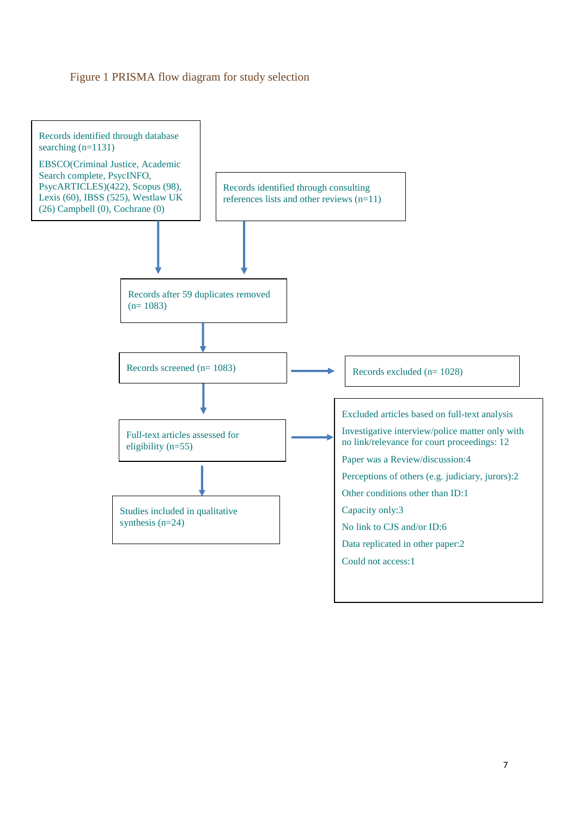#### Figure 1 PRISMA flow diagram for study selection

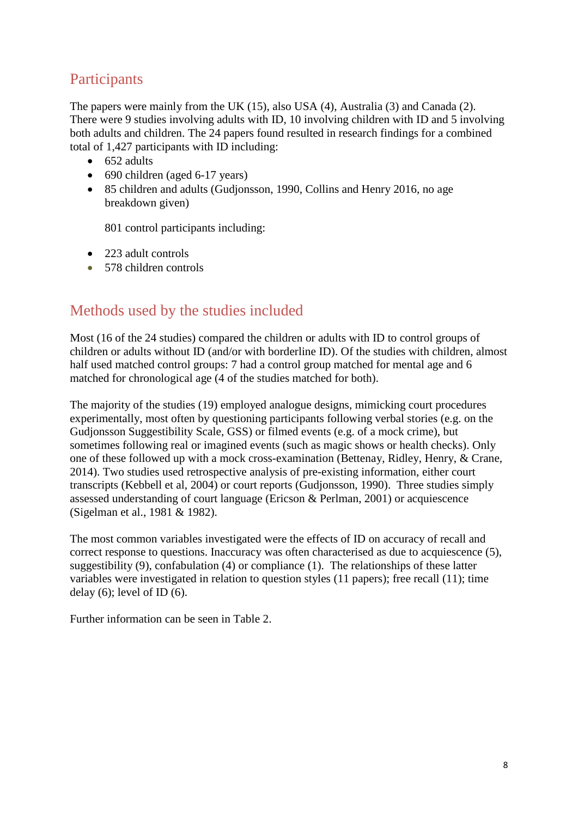### **Participants**

The papers were mainly from the UK (15), also USA (4), Australia (3) and Canada (2). There were 9 studies involving adults with ID, 10 involving children with ID and 5 involving both adults and children. The 24 papers found resulted in research findings for a combined total of 1,427 participants with ID including:

- $\bullet$  652 adults
- 690 children (aged 6-17 years)
- 85 children and adults (Gudjonsson, 1990, Collins and Henry 2016, no age breakdown given)

801 control participants including:

- 223 adult controls
- 578 children controls

### Methods used by the studies included

Most (16 of the 24 studies) compared the children or adults with ID to control groups of children or adults without ID (and/or with borderline ID). Of the studies with children, almost half used matched control groups: 7 had a control group matched for mental age and 6 matched for chronological age (4 of the studies matched for both).

The majority of the studies (19) employed analogue designs, mimicking court procedures experimentally, most often by questioning participants following verbal stories (e.g. on the Gudjonsson Suggestibility Scale, GSS) or filmed events (e.g. of a mock crime), but sometimes following real or imagined events (such as magic shows or health checks). Only one of these followed up with a mock cross-examination (Bettenay, Ridley, Henry, & Crane, 2014). Two studies used retrospective analysis of pre-existing information, either court transcripts (Kebbell et al, 2004) or court reports (Gudjonsson, 1990). Three studies simply assessed understanding of court language (Ericson & Perlman, 2001) or acquiescence (Sigelman et al., 1981 & 1982).

The most common variables investigated were the effects of ID on accuracy of recall and correct response to questions. Inaccuracy was often characterised as due to acquiescence (5), suggestibility (9), confabulation (4) or compliance (1). The relationships of these latter variables were investigated in relation to question styles (11 papers); free recall (11); time delay  $(6)$ ; level of ID $(6)$ .

Further information can be seen in Table 2.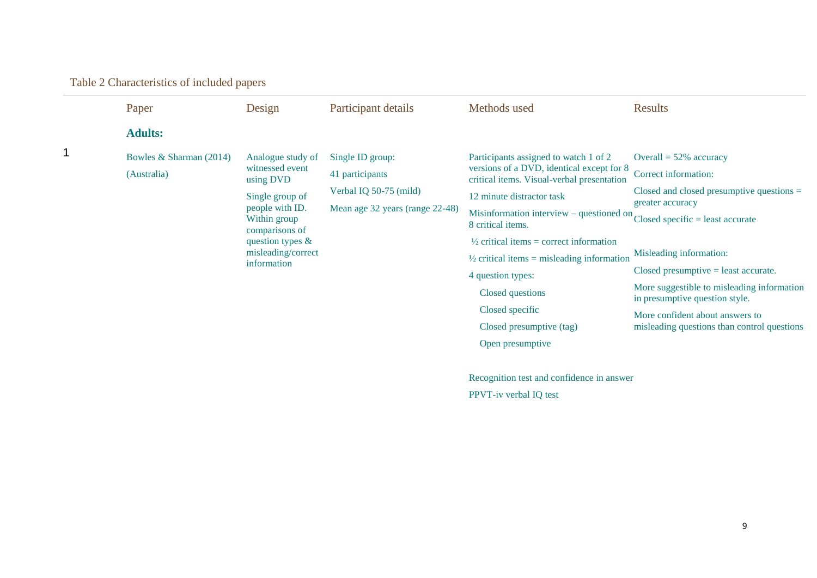| Paper                                  | Design                                                                                                                                                                                | Participant details                                                                              | Methods used                                                                                                                                                                                                                                                                                                                                                                                                                                              | <b>Results</b>                                                                                                                                                                                                                                                                                                                                                                                    |
|----------------------------------------|---------------------------------------------------------------------------------------------------------------------------------------------------------------------------------------|--------------------------------------------------------------------------------------------------|-----------------------------------------------------------------------------------------------------------------------------------------------------------------------------------------------------------------------------------------------------------------------------------------------------------------------------------------------------------------------------------------------------------------------------------------------------------|---------------------------------------------------------------------------------------------------------------------------------------------------------------------------------------------------------------------------------------------------------------------------------------------------------------------------------------------------------------------------------------------------|
| <b>Adults:</b>                         |                                                                                                                                                                                       |                                                                                                  |                                                                                                                                                                                                                                                                                                                                                                                                                                                           |                                                                                                                                                                                                                                                                                                                                                                                                   |
| Bowles & Sharman (2014)<br>(Australia) | Analogue study of<br>witnessed event<br>using DVD<br>Single group of<br>people with ID.<br>Within group<br>comparisons of<br>question types $\&$<br>misleading/correct<br>information | Single ID group:<br>41 participants<br>Verbal IQ 50-75 (mild)<br>Mean age 32 years (range 22-48) | Participants assigned to watch 1 of 2<br>versions of a DVD, identical except for 8<br>critical items. Visual-verbal presentation<br>12 minute distractor task<br>Misinformation interview – questioned on<br>8 critical items.<br>$\frac{1}{2}$ critical items = correct information<br>$\frac{1}{2}$ critical items = misleading information<br>4 question types:<br>Closed questions<br>Closed specific<br>Closed presumptive (tag)<br>Open presumptive | Overall = $52\%$ accuracy<br>Correct information:<br>Closed and closed presumptive questions $=$<br>greater accuracy<br>$Closed specific = least accurate$<br>Misleading information:<br>$Closed$ presumptive = least accurate.<br>More suggestible to misleading information<br>in presumptive question style.<br>More confident about answers to<br>misleading questions than control questions |
|                                        |                                                                                                                                                                                       |                                                                                                  | Recognition test and confidence in answer<br>PPVT-iv verbal IQ test                                                                                                                                                                                                                                                                                                                                                                                       |                                                                                                                                                                                                                                                                                                                                                                                                   |

Table 2 Characteristics of included papers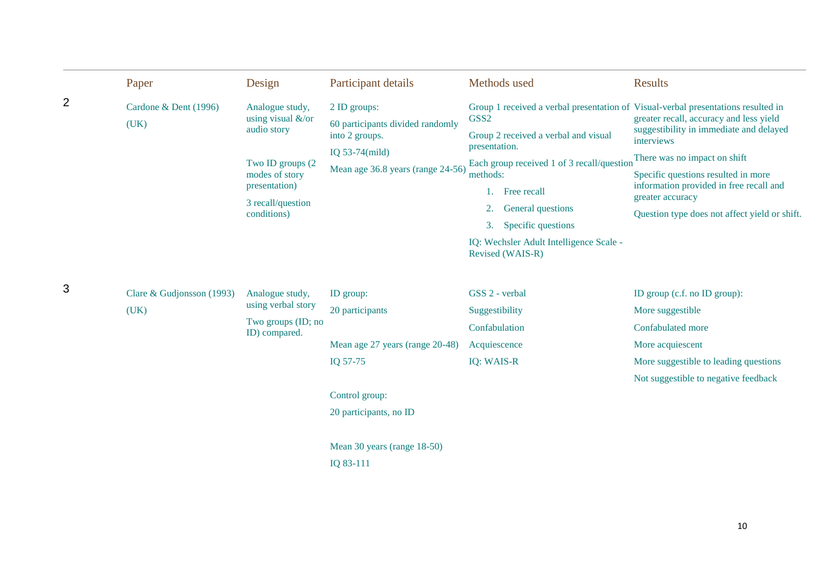|   | Paper                               | Design                                                                                                                                                   | Participant details                                                                                                          |                                                                                        | Methods used                                                                                                                                                                                                | <b>Results</b>                                                                                                                                                                                                                                                                                                                                                               |
|---|-------------------------------------|----------------------------------------------------------------------------------------------------------------------------------------------------------|------------------------------------------------------------------------------------------------------------------------------|----------------------------------------------------------------------------------------|-------------------------------------------------------------------------------------------------------------------------------------------------------------------------------------------------------------|------------------------------------------------------------------------------------------------------------------------------------------------------------------------------------------------------------------------------------------------------------------------------------------------------------------------------------------------------------------------------|
| 2 | Cardone & Dent (1996)<br>(UK)       | Analogue study,<br>using visual $&\text{/or}$<br>audio story<br>Two ID groups (2)<br>modes of story<br>presentation)<br>3 recall/question<br>conditions) | 2 ID groups:<br>60 participants divided randomly<br>into 2 groups.<br>IQ $53-74$ (mild)<br>Mean age 36.8 years (range 24-56) | GSS <sub>2</sub><br>presentation.<br>methods:<br>1.<br>3.                              | Group 2 received a verbal and visual<br>Each group received 1 of 3 recall/question<br>Free recall<br>General questions<br>Specific questions<br>IQ: Wechsler Adult Intelligence Scale -<br>Revised (WAIS-R) | Group 1 received a verbal presentation of Visual-verbal presentations resulted in<br>greater recall, accuracy and less yield<br>suggestibility in immediate and delayed<br>interviews<br>There was no impact on shift<br>Specific questions resulted in more<br>information provided in free recall and<br>greater accuracy<br>Question type does not affect yield or shift. |
| 3 | Clare & Gudjonsson $(1993)$<br>(UK) | Analogue study,<br>using verbal story<br>Two groups (ID; no<br>ID) compared.                                                                             | ID group:<br>20 participants<br>Mean age 27 years (range 20-48)<br>IQ 57-75<br>Control group:<br>20 participants, no ID      | GSS 2 - verbal<br>Suggestibility<br>Confabulation<br>Acquiescence<br><b>IQ: WAIS-R</b> |                                                                                                                                                                                                             | ID group (c.f. no ID group):<br>More suggestible<br>Confabulated more<br>More acquiescent<br>More suggestible to leading questions<br>Not suggestible to negative feedback                                                                                                                                                                                                   |
|   |                                     |                                                                                                                                                          | Mean 30 years (range 18-50)<br>IQ 83-111                                                                                     |                                                                                        |                                                                                                                                                                                                             |                                                                                                                                                                                                                                                                                                                                                                              |

10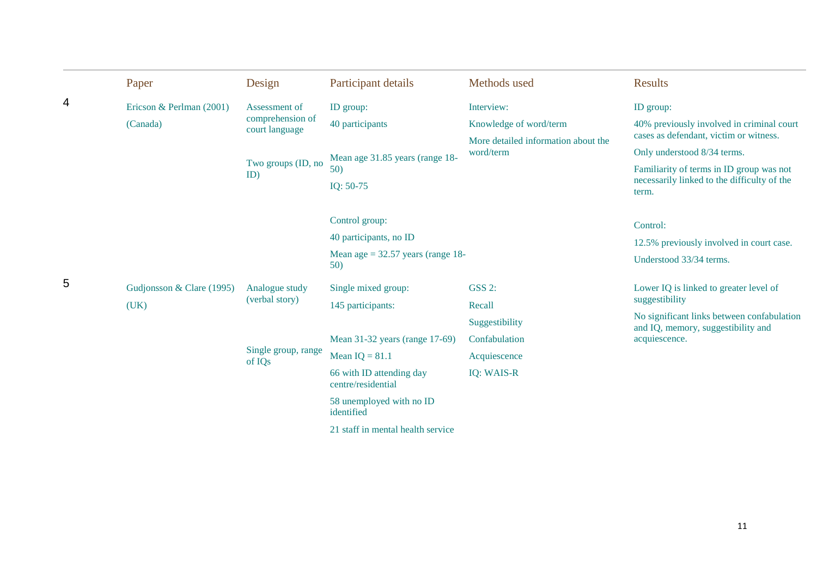|   | Paper                             | Design                                    | Participant details                            | Methods used                                     | <b>Results</b>                                                                                   |
|---|-----------------------------------|-------------------------------------------|------------------------------------------------|--------------------------------------------------|--------------------------------------------------------------------------------------------------|
| 4 | Ericson & Perlman (2001)          | Assessment of                             | ID group:                                      | Interview:                                       | ID group:                                                                                        |
|   | (Canada)                          | comprehension of<br>court language        | 40 participants                                | Knowledge of word/term                           | 40% previously involved in criminal court<br>cases as defendant, victim or witness.              |
|   |                                   |                                           | Mean age 31.85 years (range 18-                | More detailed information about the<br>word/term | Only understood 8/34 terms.                                                                      |
|   |                                   | Two groups (ID, no<br>ID)                 | 50)<br>IQ: 50-75                               |                                                  | Familiarity of terms in ID group was not<br>necessarily linked to the difficulty of the<br>term. |
|   |                                   |                                           | Control group:                                 |                                                  | Control:                                                                                         |
|   |                                   |                                           | 40 participants, no ID                         |                                                  | 12.5% previously involved in court case.                                                         |
|   |                                   |                                           | Mean age $= 32.57$ years (range 18-<br>50)     |                                                  | Understood 33/34 terms.                                                                          |
| 5 | Gudjonsson & Clare (1995)<br>(UK) | Analogue study<br>(verbal story)          | Single mixed group:<br>145 participants:       | <b>GSS 2:</b><br>Recall                          | Lower IQ is linked to greater level of<br>suggestibility                                         |
|   |                                   |                                           |                                                | Suggestibility                                   | No significant links between confabulation<br>and IQ, memory, suggestibility and                 |
|   |                                   |                                           | Mean 31-32 years (range 17-69)                 | Confabulation                                    | acquiescence.                                                                                    |
|   |                                   | Single group, range<br>of IQ <sub>s</sub> | Mean $IQ = 81.1$                               | Acquiescence                                     |                                                                                                  |
|   |                                   |                                           | 66 with ID attending day<br>centre/residential | <b>IQ: WAIS-R</b>                                |                                                                                                  |
|   |                                   |                                           | 58 unemployed with no ID<br>identified         |                                                  |                                                                                                  |
|   |                                   |                                           | 21 staff in mental health service              |                                                  |                                                                                                  |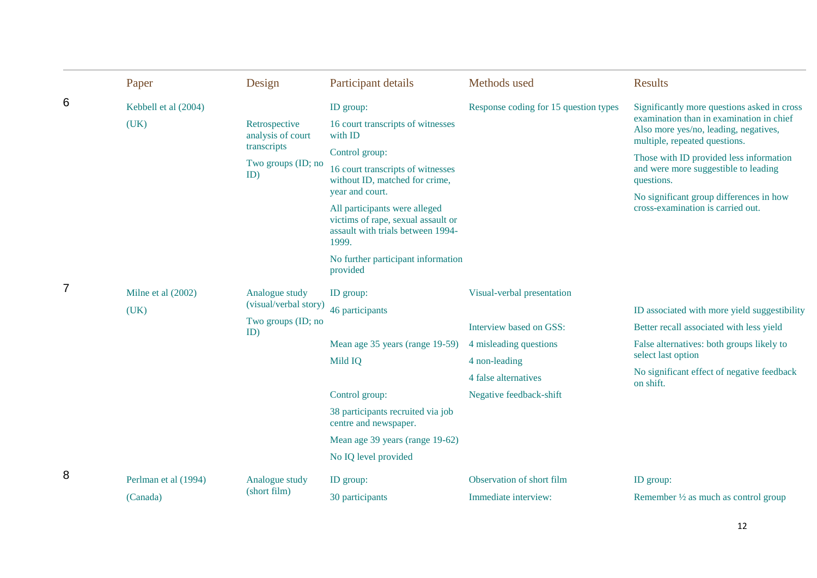|                | Paper                | Design                             | Participant details                                                                                               | Methods used                          | <b>Results</b>                                                                                                     |
|----------------|----------------------|------------------------------------|-------------------------------------------------------------------------------------------------------------------|---------------------------------------|--------------------------------------------------------------------------------------------------------------------|
| 6              | Kebbell et al (2004) |                                    | ID group:                                                                                                         | Response coding for 15 question types | Significantly more questions asked in cross                                                                        |
|                | (UK)                 | Retrospective<br>analysis of court | 16 court transcripts of witnesses<br>with ID                                                                      |                                       | examination than in examination in chief<br>Also more yes/no, leading, negatives,<br>multiple, repeated questions. |
|                |                      | transcripts                        | Control group:                                                                                                    |                                       | Those with ID provided less information                                                                            |
|                |                      | Two groups (ID; no<br>ID)          | 16 court transcripts of witnesses<br>without ID, matched for crime,                                               |                                       | and were more suggestible to leading<br>questions.                                                                 |
|                |                      |                                    | year and court.                                                                                                   |                                       | No significant group differences in how                                                                            |
|                |                      |                                    | All participants were alleged<br>victims of rape, sexual assault or<br>assault with trials between 1994-<br>1999. |                                       | cross-examination is carried out.                                                                                  |
|                |                      |                                    | No further participant information<br>provided                                                                    |                                       |                                                                                                                    |
| $\overline{7}$ | Milne et al (2002)   | Analogue study                     | ID group:                                                                                                         | Visual-verbal presentation            |                                                                                                                    |
|                | (UK)                 | (visual/verbal story)              | 46 participants                                                                                                   |                                       | ID associated with more yield suggestibility                                                                       |
|                |                      | Two groups (ID; no<br>ID)          |                                                                                                                   | Interview based on GSS:               | Better recall associated with less yield                                                                           |
|                |                      |                                    | Mean age 35 years (range 19-59)                                                                                   | 4 misleading questions                | False alternatives: both groups likely to                                                                          |
|                |                      |                                    | Mild IQ                                                                                                           | 4 non-leading                         | select last option                                                                                                 |
|                |                      |                                    |                                                                                                                   | 4 false alternatives                  | No significant effect of negative feedback<br>on shift.                                                            |
|                |                      |                                    | Control group:                                                                                                    | Negative feedback-shift               |                                                                                                                    |
|                |                      |                                    | 38 participants recruited via job<br>centre and newspaper.                                                        |                                       |                                                                                                                    |
|                |                      |                                    | Mean age 39 years (range 19-62)                                                                                   |                                       |                                                                                                                    |
|                |                      |                                    | No IQ level provided                                                                                              |                                       |                                                                                                                    |
| 8              | Perlman et al (1994) | Analogue study                     | ID group:                                                                                                         | Observation of short film             | ID group:                                                                                                          |
|                | (Canada)             | (short film)                       | 30 participants                                                                                                   | Immediate interview:                  | Remember $\frac{1}{2}$ as much as control group                                                                    |

12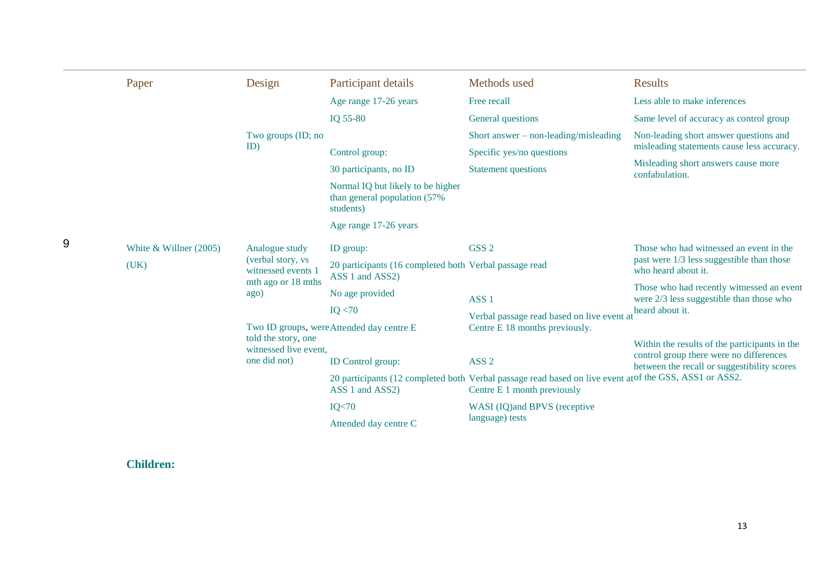|   | Paper                            | Design                                                                                  | Participant details                                                             | Methods used                                                                                                                           | <b>Results</b>                                                                          |
|---|----------------------------------|-----------------------------------------------------------------------------------------|---------------------------------------------------------------------------------|----------------------------------------------------------------------------------------------------------------------------------------|-----------------------------------------------------------------------------------------|
|   |                                  |                                                                                         | Age range 17-26 years                                                           | Free recall                                                                                                                            | Less able to make inferences                                                            |
|   |                                  |                                                                                         | IQ 55-80                                                                        | General questions                                                                                                                      | Same level of accuracy as control group                                                 |
|   |                                  | Two groups (ID; no                                                                      |                                                                                 | Short answer $-$ non-leading/misleading                                                                                                | Non-leading short answer questions and                                                  |
|   |                                  | ID)                                                                                     | Control group:                                                                  | Specific yes/no questions                                                                                                              | misleading statements cause less accuracy.                                              |
|   |                                  |                                                                                         | 30 participants, no ID                                                          | <b>Statement questions</b>                                                                                                             | Misleading short answers cause more<br>confabulation.                                   |
|   |                                  |                                                                                         | Normal IQ but likely to be higher<br>than general population (57%)<br>students) |                                                                                                                                        |                                                                                         |
|   |                                  |                                                                                         | Age range 17-26 years                                                           |                                                                                                                                        |                                                                                         |
| 9 | White $&$ Willner (2005)<br>(UK) | Analogue study<br>(verbal story, vs<br>witnessed events 1<br>mth ago or 18 mths<br>ago) | ID group:                                                                       | GSS <sub>2</sub>                                                                                                                       | Those who had witnessed an event in the                                                 |
|   |                                  |                                                                                         | 20 participants (16 completed both Verbal passage read<br>ASS 1 and ASS2)       | who heard about it.<br>ASS <sub>1</sub>                                                                                                | past were 1/3 less suggestible than those                                               |
|   |                                  |                                                                                         | No age provided                                                                 |                                                                                                                                        | Those who had recently witnessed an event<br>were $2/3$ less suggestible than those who |
|   |                                  |                                                                                         | IQ < 70                                                                         | Verbal passage read based on live event at                                                                                             | heard about it.                                                                         |
|   |                                  |                                                                                         | Two ID groups, were Attended day centre E                                       | Centre E 18 months previously.                                                                                                         |                                                                                         |
|   |                                  | told the story, one<br>witnessed live event,                                            |                                                                                 |                                                                                                                                        | Within the results of the participants in the                                           |
|   |                                  | one did not)                                                                            | <b>ID</b> Control group:                                                        | ASS <sub>2</sub>                                                                                                                       | control group there were no differences<br>between the recall or suggestibility scores  |
|   |                                  |                                                                                         | ASS 1 and ASS2)                                                                 | 20 participants (12 completed both Verbal passage read based on live event at of the GSS, ASS1 or ASS2.<br>Centre E 1 month previously |                                                                                         |
|   |                                  |                                                                                         | IQ < 70                                                                         | WASI (IQ) and BPVS (receptive                                                                                                          |                                                                                         |
|   |                                  |                                                                                         | Attended day centre C                                                           | language) tests                                                                                                                        |                                                                                         |

#### **Children:**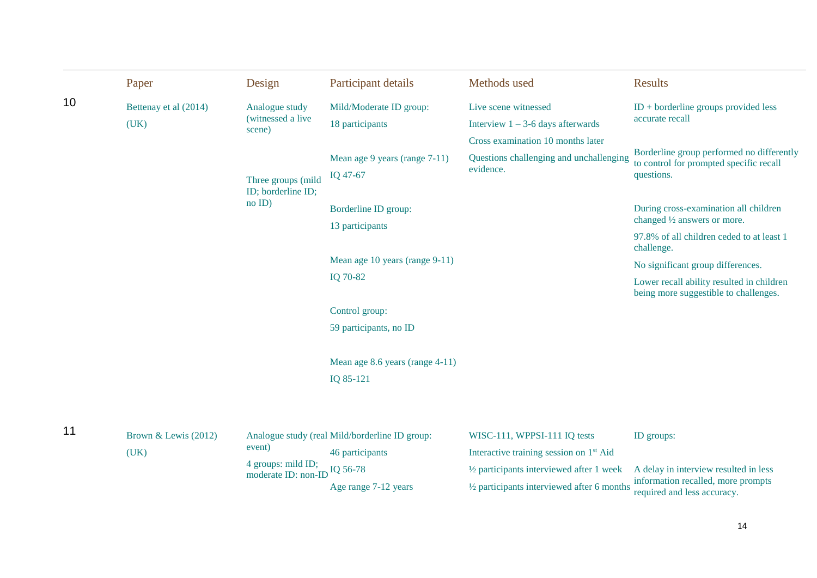|    | Paper                 | Design                                    | Participant details                            | Methods used                                          | <b>Results</b>                                                                       |
|----|-----------------------|-------------------------------------------|------------------------------------------------|-------------------------------------------------------|--------------------------------------------------------------------------------------|
| 10 | Bettenay et al (2014) | Analogue study                            | Mild/Moderate ID group:                        | Live scene witnessed                                  | $ID + borderline groups provided less$                                               |
|    | (UK)                  | (witnessed a live<br>scene)               | 18 participants                                | Interview $1 - 3 - 6$ days afterwards                 | accurate recall                                                                      |
|    |                       |                                           |                                                | Cross examination 10 months later                     |                                                                                      |
|    |                       |                                           | Mean age 9 years (range 7-11)                  | Questions challenging and unchallenging               | Borderline group performed no differently<br>to control for prompted specific recall |
|    |                       | Three groups (mild<br>ID; borderline ID;  | IQ 47-67                                       | evidence.                                             | questions.                                                                           |
|    |                       | $no$ ID)                                  | Borderline ID group:                           |                                                       | During cross-examination all children                                                |
|    |                       |                                           | 13 participants                                |                                                       | changed 1/2 answers or more.                                                         |
|    |                       |                                           |                                                |                                                       | 97.8% of all children ceded to at least 1<br>challenge.                              |
|    |                       |                                           | Mean age 10 years (range 9-11)                 |                                                       | No significant group differences.                                                    |
|    |                       |                                           | IQ 70-82                                       |                                                       | Lower recall ability resulted in children<br>being more suggestible to challenges.   |
|    |                       |                                           | Control group:                                 |                                                       |                                                                                      |
|    |                       |                                           | 59 participants, no ID                         |                                                       |                                                                                      |
|    |                       |                                           | Mean age 8.6 years (range 4-11)                |                                                       |                                                                                      |
|    |                       |                                           | IQ 85-121                                      |                                                       |                                                                                      |
|    |                       |                                           |                                                |                                                       |                                                                                      |
| 11 | Brown & Lewis (2012)  |                                           | Analogue study (real Mild/borderline ID group: | WISC-111, WPPSI-111 IQ tests                          | ID groups:                                                                           |
|    | (UK)                  | event)                                    | 46 participants                                | Interactive training session on 1 <sup>st</sup> Aid   |                                                                                      |
|    |                       | 4 groups: mild ID;<br>moderate ID: non-ID | IQ 56-78                                       | $\frac{1}{2}$ participants interviewed after 1 week   | A delay in interview resulted in less                                                |
|    |                       |                                           | Age range 7-12 years                           | $\frac{1}{2}$ participants interviewed after 6 months | information recalled, more prompts<br>required and less accuracy.                    |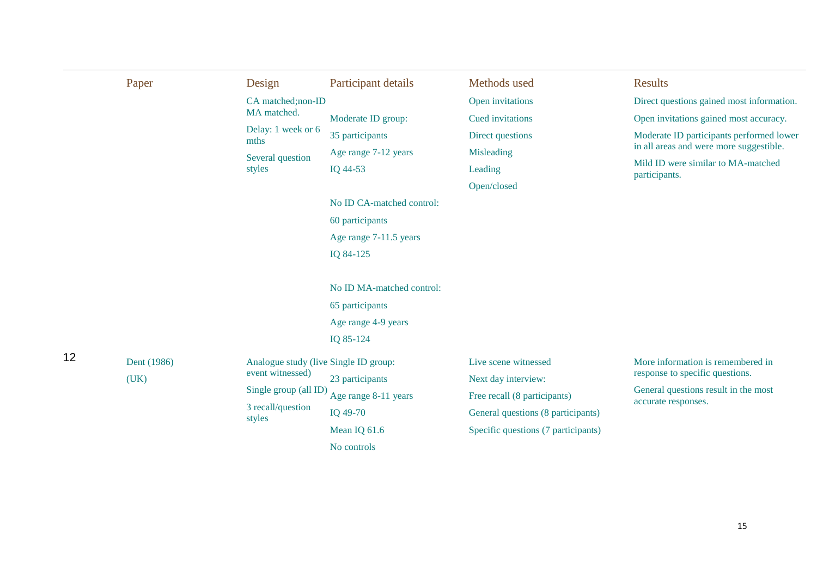|    | Paper       | Design                                                    | Participant details       | Methods used                        | <b>Results</b>                                                       |
|----|-------------|-----------------------------------------------------------|---------------------------|-------------------------------------|----------------------------------------------------------------------|
|    |             | CA matched;non-ID                                         |                           | Open invitations                    | Direct questions gained most information.                            |
|    |             | MA matched.                                               | Moderate ID group:        | Cued invitations                    | Open invitations gained most accuracy.                               |
|    |             | Delay: 1 week or 6<br>mths                                | 35 participants           | Direct questions                    | Moderate ID participants performed lower                             |
|    |             | Several question                                          | Age range 7-12 years      | Misleading                          | in all areas and were more suggestible.                              |
|    |             | styles                                                    | IQ 44-53                  | Leading                             | Mild ID were similar to MA-matched<br>participants.                  |
|    |             |                                                           |                           | Open/closed                         |                                                                      |
|    |             |                                                           | No ID CA-matched control: |                                     |                                                                      |
|    |             |                                                           | 60 participants           |                                     |                                                                      |
|    |             |                                                           | Age range 7-11.5 years    |                                     |                                                                      |
|    |             |                                                           | IQ 84-125                 |                                     |                                                                      |
|    |             |                                                           | No ID MA-matched control: |                                     |                                                                      |
|    |             |                                                           | 65 participants           |                                     |                                                                      |
|    |             |                                                           | Age range 4-9 years       |                                     |                                                                      |
|    |             |                                                           | IQ 85-124                 |                                     |                                                                      |
| 12 | Dent (1986) | Analogue study (live Single ID group:<br>event witnessed) |                           | Live scene witnessed                | More information is remembered in<br>response to specific questions. |
|    | (UK)        | Single group (all ID)                                     | 23 participants           | Next day interview:                 | General questions result in the most                                 |
|    |             | 3 recall/question                                         | Age range 8-11 years      | Free recall (8 participants)        | accurate responses.                                                  |
|    |             | styles                                                    | IQ 49-70                  | General questions (8 participants)  |                                                                      |
|    |             |                                                           | Mean IQ 61.6              | Specific questions (7 participants) |                                                                      |
|    |             |                                                           | No controls               |                                     |                                                                      |

15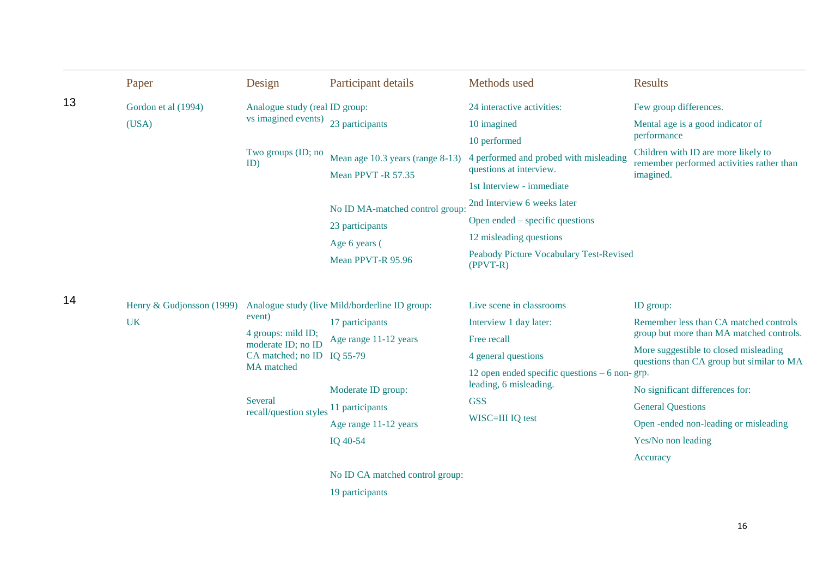|    | Paper                     | Design                                                                  | Participant details                            | Methods used                                                      | <b>Results</b>                                                                     |
|----|---------------------------|-------------------------------------------------------------------------|------------------------------------------------|-------------------------------------------------------------------|------------------------------------------------------------------------------------|
| 13 | Gordon et al (1994)       | Analogue study (real ID group:                                          |                                                | 24 interactive activities:                                        | Few group differences.                                                             |
|    | (USA)                     | vs imagined events)                                                     | 23 participants                                | 10 imagined                                                       | Mental age is a good indicator of                                                  |
|    |                           |                                                                         |                                                | 10 performed                                                      | performance                                                                        |
|    |                           | Two groups (ID; no<br>ID)                                               | Mean age 10.3 years (range 8-13)               | 4 performed and probed with misleading<br>questions at interview. | Children with ID are more likely to<br>remember performed activities rather than   |
|    |                           |                                                                         | Mean PPVT -R 57.35                             | 1st Interview - immediate                                         | imagined.                                                                          |
|    |                           |                                                                         |                                                | 2nd Interview 6 weeks later                                       |                                                                                    |
|    |                           |                                                                         | No ID MA-matched control group:                | Open ended – specific questions                                   |                                                                                    |
|    |                           |                                                                         | 23 participants                                | 12 misleading questions                                           |                                                                                    |
|    |                           |                                                                         | Age 6 years (<br>Mean PPVT-R 95.96             | Peabody Picture Vocabulary Test-Revised<br>$(PPVT-R)$             |                                                                                    |
| 14 | Henry & Gudjonsson (1999) |                                                                         | Analogue study (live Mild/borderline ID group: | Live scene in classrooms                                          | ID group:                                                                          |
|    | <b>UK</b>                 | event)<br>4 groups: mild ID;<br>moderate ID; no ID<br>CA matched; no ID | 17 participants                                | Interview 1 day later:                                            | Remember less than CA matched controls                                             |
|    |                           |                                                                         | Age range 11-12 years                          | Free recall                                                       | group but more than MA matched controls.                                           |
|    |                           |                                                                         | IQ 55-79                                       | 4 general questions                                               | More suggestible to closed misleading<br>questions than CA group but similar to MA |
|    |                           | <b>MA</b> matched                                                       |                                                | 12 open ended specific questions $-6$ non-grp.                    |                                                                                    |
|    |                           | Several                                                                 | Moderate ID group:                             | leading, 6 misleading.<br><b>GSS</b>                              | No significant differences for:                                                    |
|    |                           | recall/question styles 11 participants                                  |                                                | WISC=III IQ test                                                  | <b>General Questions</b>                                                           |
|    |                           |                                                                         | Age range 11-12 years                          |                                                                   | Open -ended non-leading or misleading                                              |
|    |                           |                                                                         | IQ 40-54                                       |                                                                   | Yes/No non leading                                                                 |
|    |                           |                                                                         |                                                |                                                                   | Accuracy                                                                           |
|    |                           |                                                                         | No ID CA matched control group:                |                                                                   |                                                                                    |
|    |                           |                                                                         | 19 participants                                |                                                                   |                                                                                    |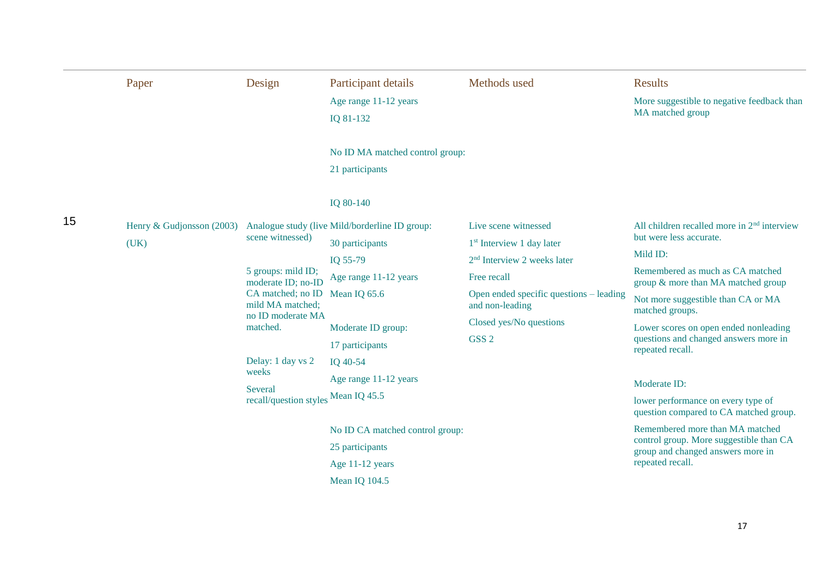|    | Paper                                                                    | Design                                                     | Participant details                                | Methods used                                                              | <b>Results</b>                                                               |  |
|----|--------------------------------------------------------------------------|------------------------------------------------------------|----------------------------------------------------|---------------------------------------------------------------------------|------------------------------------------------------------------------------|--|
|    |                                                                          |                                                            | Age range 11-12 years<br>IQ 81-132                 |                                                                           | More suggestible to negative feedback than<br>MA matched group               |  |
|    |                                                                          |                                                            | No ID MA matched control group:<br>21 participants |                                                                           |                                                                              |  |
|    |                                                                          |                                                            | IQ 80-140                                          |                                                                           |                                                                              |  |
| 15 | Henry & Gudjonsson (2003) Analogue study (live Mild/borderline ID group: |                                                            |                                                    | Live scene witnessed                                                      | All children recalled more in $2nd$ interview                                |  |
|    | (UK)                                                                     | scene witnessed)                                           | 30 participants                                    | 1 <sup>st</sup> Interview 1 day later                                     | but were less accurate.                                                      |  |
|    |                                                                          |                                                            | IQ 55-79                                           | $2nd$ Interview 2 weeks later                                             | Mild ID:                                                                     |  |
|    |                                                                          | 5 groups: mild ID;<br>moderate ID; no-ID                   | Age range 11-12 years                              | Free recall<br>Open ended specific questions – leading<br>and non-leading | Remembered as much as CA matched<br>group & more than MA matched group       |  |
|    |                                                                          | CA matched; no ID<br>mild MA matched;<br>no ID moderate MA | Mean IQ 65.6                                       |                                                                           | Not more suggestible than CA or MA<br>matched groups.                        |  |
|    |                                                                          | matched.                                                   | Moderate ID group:                                 | Closed yes/No questions                                                   | Lower scores on open ended nonleading                                        |  |
|    |                                                                          |                                                            | 17 participants                                    | GSS <sub>2</sub>                                                          | questions and changed answers more in<br>repeated recall.                    |  |
|    |                                                                          | Delay: 1 day vs 2                                          | IQ 40-54                                           |                                                                           |                                                                              |  |
|    |                                                                          | weeks                                                      | Age range 11-12 years                              |                                                                           | Moderate ID:                                                                 |  |
|    |                                                                          | Several<br>recall/question styles Mean IQ 45.5             |                                                    |                                                                           | lower performance on every type of<br>question compared to CA matched group. |  |
|    |                                                                          |                                                            | No ID CA matched control group:                    |                                                                           | Remembered more than MA matched                                              |  |
|    |                                                                          |                                                            | 25 participants                                    |                                                                           | control group. More suggestible than CA<br>group and changed answers more in |  |
|    |                                                                          |                                                            | Age 11-12 years                                    |                                                                           | repeated recall.                                                             |  |
|    |                                                                          |                                                            | Mean IQ 104.5                                      |                                                                           |                                                                              |  |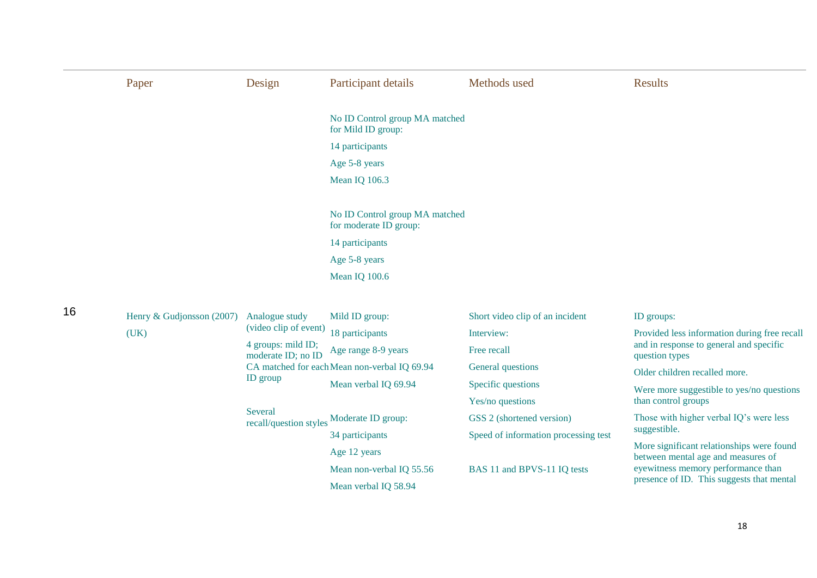|    | Paper                     | Design                                   | Participant details                                      | Methods used                         | <b>Results</b>                                                                  |
|----|---------------------------|------------------------------------------|----------------------------------------------------------|--------------------------------------|---------------------------------------------------------------------------------|
|    |                           |                                          | No ID Control group MA matched<br>for Mild ID group:     |                                      |                                                                                 |
|    |                           |                                          | 14 participants                                          |                                      |                                                                                 |
|    |                           |                                          | Age 5-8 years                                            |                                      |                                                                                 |
|    |                           |                                          | Mean IQ 106.3                                            |                                      |                                                                                 |
|    |                           |                                          | No ID Control group MA matched<br>for moderate ID group: |                                      |                                                                                 |
|    |                           |                                          | 14 participants                                          |                                      |                                                                                 |
|    |                           |                                          | Age 5-8 years                                            |                                      |                                                                                 |
|    |                           |                                          | Mean IQ 100.6                                            |                                      |                                                                                 |
| 16 | Henry & Gudjonsson (2007) | Analogue study                           | Mild ID group:                                           | Short video clip of an incident      | ID groups:                                                                      |
|    | (UK)                      | (video clip of event)                    | 18 participants                                          | Interview:                           | Provided less information during free recall                                    |
|    |                           | 4 groups: mild ID;<br>moderate ID; no ID | Age range 8-9 years                                      | Free recall                          | and in response to general and specific<br>question types                       |
|    |                           |                                          | CA matched for each Mean non-verbal IQ 69.94             | General questions                    | Older children recalled more.                                                   |
|    |                           | ID group                                 | Mean verbal IQ 69.94                                     | Specific questions                   | Were more suggestible to yes/no questions                                       |
|    |                           |                                          |                                                          | Yes/no questions                     | than control groups                                                             |
|    |                           | Several                                  | recall/question styles Moderate ID group:                | GSS 2 (shortened version)            | Those with higher verbal IQ's were less                                         |
|    |                           |                                          | 34 participants                                          | Speed of information processing test | suggestible.                                                                    |
|    |                           |                                          | Age 12 years                                             |                                      | More significant relationships were found<br>between mental age and measures of |
|    |                           |                                          | Mean non-verbal IQ 55.56                                 | BAS 11 and BPVS-11 IQ tests          | eyewitness memory performance than                                              |
|    |                           |                                          | Mean verbal IQ 58.94                                     |                                      | presence of ID. This suggests that mental                                       |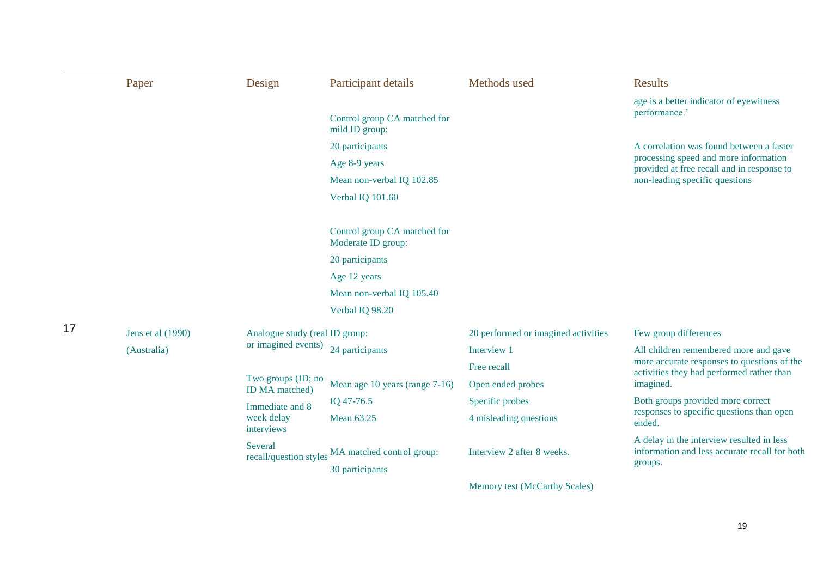|    | Paper                            | Design                               | Participant details                                | Methods used                        | <b>Results</b>                                                                                        |
|----|----------------------------------|--------------------------------------|----------------------------------------------------|-------------------------------------|-------------------------------------------------------------------------------------------------------|
|    | Jens et al (1990)<br>(Australia) |                                      |                                                    |                                     | age is a better indicator of eyewitness                                                               |
|    |                                  |                                      | Control group CA matched for<br>mild ID group:     |                                     | performance.'                                                                                         |
|    |                                  |                                      | 20 participants                                    |                                     | A correlation was found between a faster                                                              |
|    |                                  |                                      | Age 8-9 years                                      |                                     | processing speed and more information<br>provided at free recall and in response to                   |
|    |                                  |                                      | Mean non-verbal IQ 102.85                          |                                     | non-leading specific questions                                                                        |
|    |                                  |                                      | Verbal IQ 101.60                                   |                                     |                                                                                                       |
|    |                                  |                                      | Control group CA matched for<br>Moderate ID group: |                                     |                                                                                                       |
|    |                                  |                                      | 20 participants                                    |                                     |                                                                                                       |
|    |                                  |                                      | Age 12 years                                       |                                     |                                                                                                       |
|    |                                  |                                      | Mean non-verbal IQ 105.40                          |                                     |                                                                                                       |
|    |                                  |                                      | Verbal IQ 98.20                                    |                                     |                                                                                                       |
| 17 |                                  | Analogue study (real ID group:       |                                                    | 20 performed or imagined activities | Few group differences                                                                                 |
|    |                                  | or imagined events)                  | 24 participants                                    | Interview 1                         | All children remembered more and gave                                                                 |
|    |                                  |                                      |                                                    | Free recall                         | more accurate responses to questions of the<br>activities they had performed rather than              |
|    |                                  | Two groups (ID; no<br>ID MA matched) | Mean age 10 years (range 7-16)                     | Open ended probes                   | imagined.                                                                                             |
|    |                                  | Immediate and 8                      | IQ 47-76.5                                         | Specific probes                     | Both groups provided more correct                                                                     |
|    |                                  | week delay<br>interviews             | Mean 63.25                                         | 4 misleading questions              | responses to specific questions than open<br>ended.                                                   |
|    |                                  | Several<br>recall/question styles    | MA matched control group:<br>30 participants       | Interview 2 after 8 weeks.          | A delay in the interview resulted in less<br>information and less accurate recall for both<br>groups. |
|    |                                  |                                      |                                                    | Memory test (McCarthy Scales)       |                                                                                                       |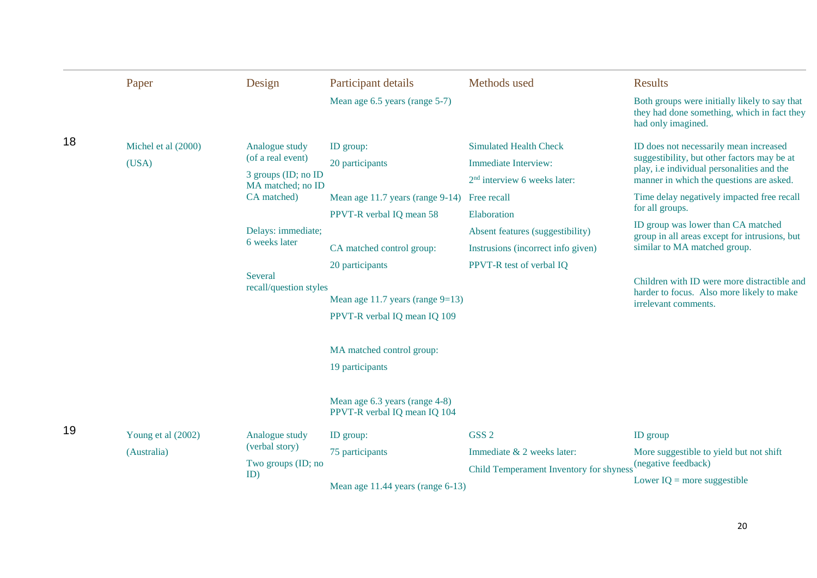|    | Paper                             | Design                                                                                                                                                                     | Participant details                                                                                                                                                                                                                              | Methods used                                                                                                                                                                                                                | <b>Results</b>                                                                                                                                                                                                                                                                                                                                                                                                                                                                              |
|----|-----------------------------------|----------------------------------------------------------------------------------------------------------------------------------------------------------------------------|--------------------------------------------------------------------------------------------------------------------------------------------------------------------------------------------------------------------------------------------------|-----------------------------------------------------------------------------------------------------------------------------------------------------------------------------------------------------------------------------|---------------------------------------------------------------------------------------------------------------------------------------------------------------------------------------------------------------------------------------------------------------------------------------------------------------------------------------------------------------------------------------------------------------------------------------------------------------------------------------------|
|    |                                   |                                                                                                                                                                            | Mean age 6.5 years (range 5-7)                                                                                                                                                                                                                   |                                                                                                                                                                                                                             | Both groups were initially likely to say that<br>they had done something, which in fact they<br>had only imagined.                                                                                                                                                                                                                                                                                                                                                                          |
| 18 | Michel et al (2000)<br>(USA)      | Analogue study<br>(of a real event)<br>3 groups (ID; no ID<br>MA matched; no ID<br>CA matched)<br>Delays: immediate;<br>6 weeks later<br>Several<br>recall/question styles | ID group:<br>20 participants<br>Mean age 11.7 years (range 9-14)<br>PPVT-R verbal IQ mean 58<br>CA matched control group:<br>20 participants<br>Mean age 11.7 years (range $9=13$ )<br>PPVT-R verbal IQ mean IQ 109<br>MA matched control group: | <b>Simulated Health Check</b><br>Immediate Interview:<br>$2nd$ interview 6 weeks later:<br>Free recall<br>Elaboration<br>Absent features (suggestibility)<br>Instrusions (incorrect info given)<br>PPVT-R test of verbal IQ | ID does not necessarily mean increased<br>suggestibility, but other factors may be at<br>play, i.e individual personalities and the<br>manner in which the questions are asked.<br>Time delay negatively impacted free recall<br>for all groups.<br>ID group was lower than CA matched<br>group in all areas except for intrusions, but<br>similar to MA matched group.<br>Children with ID were more distractible and<br>harder to focus. Also more likely to make<br>irrelevant comments. |
| 19 | Young et al (2002)<br>(Australia) | Analogue study<br>(verbal story)<br>Two groups (ID; no<br>ID)                                                                                                              | 19 participants<br>Mean age 6.3 years (range 4-8)<br>PPVT-R verbal IQ mean IQ 104<br>ID group:<br>75 participants<br>Mean age 11.44 years (range 6-13)                                                                                           | GSS <sub>2</sub><br>Immediate & 2 weeks later:<br>Child Temperament Inventory for shyness                                                                                                                                   | <b>ID</b> group<br>More suggestible to yield but not shift<br>(negative feedback)<br>Lower $IQ = more$ suggestible                                                                                                                                                                                                                                                                                                                                                                          |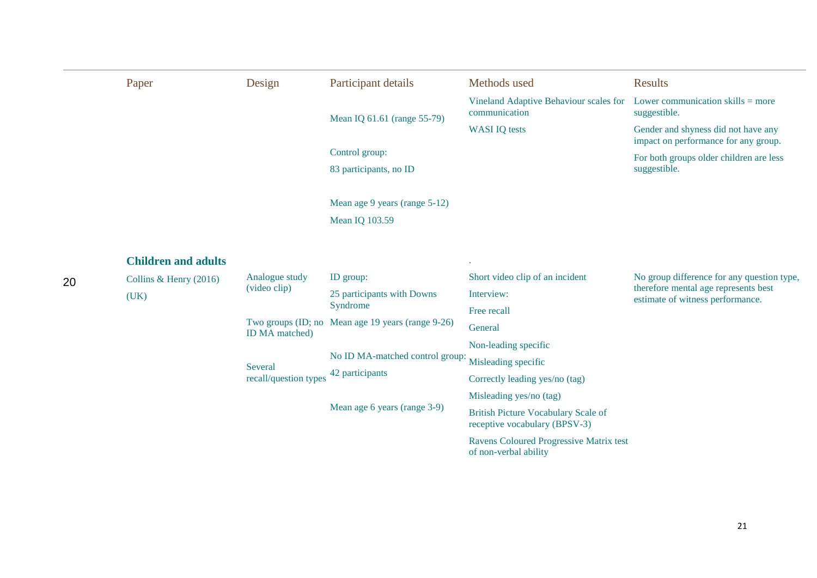|    | Paper                      | Design                | Participant details                               | Methods used                                                                | <b>Results</b>                                                              |
|----|----------------------------|-----------------------|---------------------------------------------------|-----------------------------------------------------------------------------|-----------------------------------------------------------------------------|
|    |                            |                       | Mean IQ 61.61 (range 55-79)                       | Vineland Adaptive Behaviour scales for<br>communication                     | Lower communication skills $=$ more<br>suggestible.                         |
|    |                            |                       |                                                   | <b>WASI IQ tests</b>                                                        | Gender and shyness did not have any<br>impact on performance for any group. |
|    |                            |                       | Control group:                                    |                                                                             | For both groups older children are less                                     |
|    |                            |                       | 83 participants, no ID                            |                                                                             | suggestible.                                                                |
|    |                            |                       | Mean age 9 years (range 5-12)                     |                                                                             |                                                                             |
|    |                            |                       | <b>Mean IQ 103.59</b>                             |                                                                             |                                                                             |
|    | <b>Children and adults</b> |                       |                                                   |                                                                             |                                                                             |
| 20 | Collins & Henry $(2016)$   | Analogue study        | ID group:                                         | Short video clip of an incident                                             | No group difference for any question type,                                  |
|    | (UK)                       | (video clip)          | 25 participants with Downs                        | Interview:                                                                  | therefore mental age represents best<br>estimate of witness performance.    |
|    |                            |                       | Syndrome                                          | Free recall                                                                 |                                                                             |
|    |                            | <b>ID</b> MA matched) | Two groups (ID; no Mean age 19 years (range 9-26) | General                                                                     |                                                                             |
|    |                            |                       |                                                   | Non-leading specific                                                        |                                                                             |
|    |                            | Several               | No ID MA-matched control group:                   | Misleading specific                                                         |                                                                             |
|    |                            | recall/question types | 42 participants                                   | Correctly leading yes/no (tag)                                              |                                                                             |
|    |                            |                       |                                                   | Misleading yes/no (tag)                                                     |                                                                             |
|    |                            |                       | Mean age 6 years (range 3-9)                      | <b>British Picture Vocabulary Scale of</b><br>receptive vocabulary (BPSV-3) |                                                                             |
|    |                            |                       |                                                   | Ravens Coloured Progressive Matrix test<br>of non-verbal ability            |                                                                             |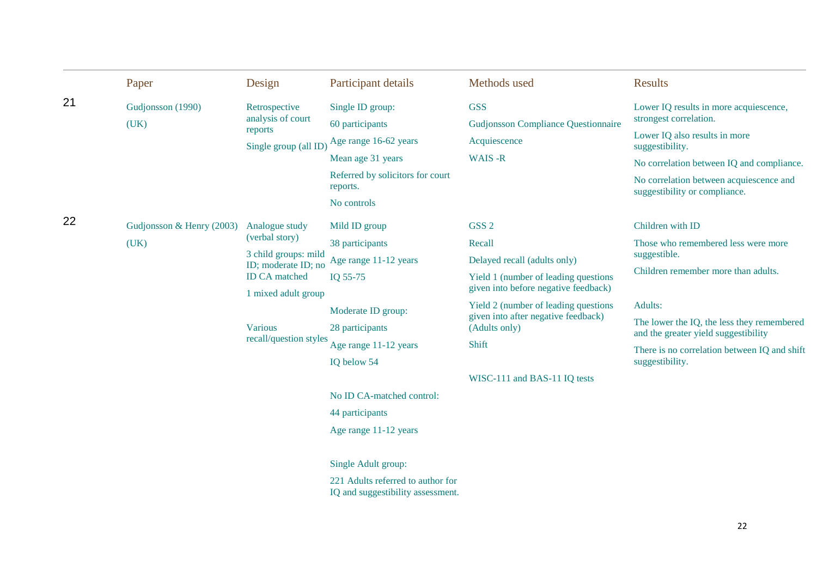|    | Paper                             | Design                                                                                                                                                                     | Participant details                                                                                                                                                                                                                                    | Methods used                                                                                                                                                                                                                                                                         | <b>Results</b>                                                                                                                                                                                                                                                                     |
|----|-----------------------------------|----------------------------------------------------------------------------------------------------------------------------------------------------------------------------|--------------------------------------------------------------------------------------------------------------------------------------------------------------------------------------------------------------------------------------------------------|--------------------------------------------------------------------------------------------------------------------------------------------------------------------------------------------------------------------------------------------------------------------------------------|------------------------------------------------------------------------------------------------------------------------------------------------------------------------------------------------------------------------------------------------------------------------------------|
| 21 | Gudjonsson (1990)<br>(UK)         | Retrospective<br>analysis of court<br>reports<br>Single group (all ID)                                                                                                     | Single ID group:<br>60 participants<br>Age range 16-62 years<br>Mean age 31 years<br>Referred by solicitors for court<br>reports.<br>No controls                                                                                                       | <b>GSS</b><br><b>Gudjonsson Compliance Questionnaire</b><br>Acquiescence<br>WAIS-R                                                                                                                                                                                                   | Lower IQ results in more acquiescence,<br>strongest correlation.<br>Lower IQ also results in more<br>suggestibility.<br>No correlation between IQ and compliance.<br>No correlation between acquiescence and<br>suggestibility or compliance.                                      |
| 22 | Gudjonsson & Henry (2003)<br>(UK) | Analogue study<br>(verbal story)<br>3 child groups: mild<br>ID; moderate ID; no<br><b>ID CA</b> matched<br>1 mixed adult group<br><b>Various</b><br>recall/question styles | Mild ID group<br>38 participants<br>Age range 11-12 years<br>IQ 55-75<br>Moderate ID group:<br>28 participants<br>Age range 11-12 years<br>IQ below 54<br>No ID CA-matched control:<br>44 participants<br>Age range 11-12 years<br>Single Adult group: | GSS <sub>2</sub><br>Recall<br>Delayed recall (adults only)<br>Yield 1 (number of leading questions<br>given into before negative feedback)<br>Yield 2 (number of leading questions)<br>given into after negative feedback)<br>(Adults only)<br>Shift<br>WISC-111 and BAS-11 IQ tests | Children with ID<br>Those who remembered less were more<br>suggestible.<br>Children remember more than adults.<br>Adults:<br>The lower the IQ, the less they remembered<br>and the greater yield suggestibility<br>There is no correlation between IQ and shift<br>suggestibility. |
|    |                                   |                                                                                                                                                                            | 221 Adults referred to author for<br>IQ and suggestibility assessment.                                                                                                                                                                                 |                                                                                                                                                                                                                                                                                      |                                                                                                                                                                                                                                                                                    |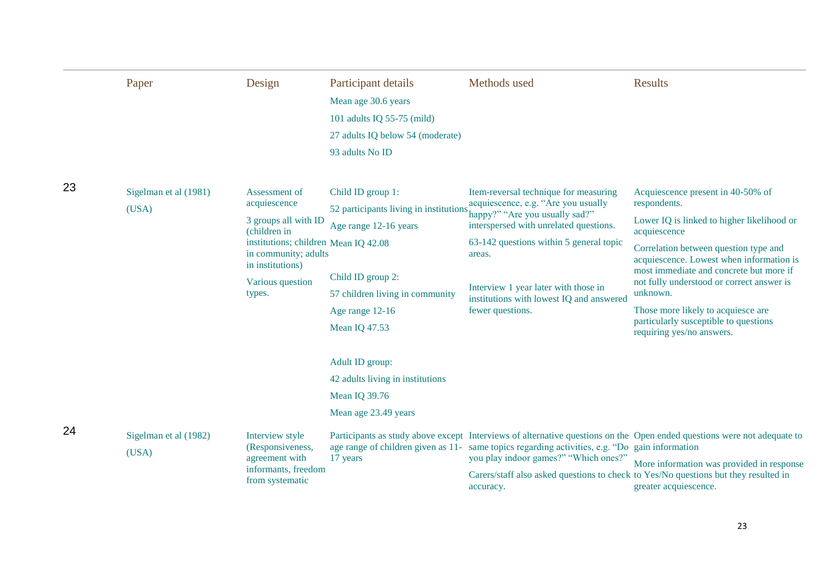|    | Paper                          | Design                                                                                                                                                                                  | Participant details<br>Mean age 30.6 years<br>101 adults IQ 55-75 (mild)<br>27 adults IQ below 54 (moderate)<br>93 adults No ID                                                         | Methods used                                                                                                                                                                                                                                                                                                          | <b>Results</b>                                                                                                                                                                                                                                                                                                                                                                                                       |
|----|--------------------------------|-----------------------------------------------------------------------------------------------------------------------------------------------------------------------------------------|-----------------------------------------------------------------------------------------------------------------------------------------------------------------------------------------|-----------------------------------------------------------------------------------------------------------------------------------------------------------------------------------------------------------------------------------------------------------------------------------------------------------------------|----------------------------------------------------------------------------------------------------------------------------------------------------------------------------------------------------------------------------------------------------------------------------------------------------------------------------------------------------------------------------------------------------------------------|
| 23 | Sigelman et al (1981)<br>(USA) | Assessment of<br>acquiescence<br>3 groups all with ID<br>(children in<br>institutions; children Mean IQ 42.08<br>in community; adults<br>in institutions)<br>Various question<br>types. | Child ID group 1:<br>52 participants living in institutions<br>Age range 12-16 years<br>Child ID group 2:<br>57 children living in community<br>Age range 12-16<br><b>Mean IQ 47.53</b> | Item-reversal technique for measuring<br>acquiescence, e.g. "Are you usually<br>happy?" "Are you usually sad?"<br>interspersed with unrelated questions.<br>63-142 questions within 5 general topic<br>areas.<br>Interview 1 year later with those in<br>institutions with lowest IQ and answered<br>fewer questions. | Acquiescence present in 40-50% of<br>respondents.<br>Lower IQ is linked to higher likelihood or<br>acquiescence<br>Correlation between question type and<br>acquiescence. Lowest when information is<br>most immediate and concrete but more if<br>not fully understood or correct answer is<br>unknown.<br>Those more likely to acquiesce are<br>particularly susceptible to questions<br>requiring yes/no answers. |
| 24 | Sigelman et al (1982)<br>(USA) | Interview style<br>(Responsiveness,<br>agreement with<br>informants, freedom<br>from systematic                                                                                         | Adult ID group:<br>42 adults living in institutions<br>Mean IQ 39.76<br>Mean age 23.49 years<br>17 years                                                                                | age range of children given as 11- same topics regarding activities, e.g. "Do gain information<br>you play indoor games?" "Which ones?"<br>Carers/staff also asked questions to check to Yes/No questions but they resulted in<br>accuracy.                                                                           | Participants as study above except Interviews of alternative questions on the Open ended questions were not adequate to<br>More information was provided in response<br>greater acquiescence.                                                                                                                                                                                                                        |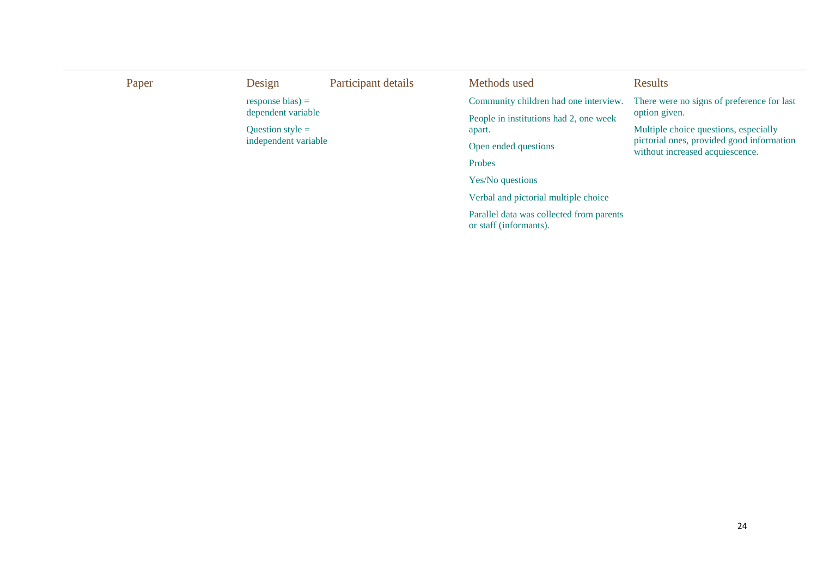| Paper | Design               | Participant details | Methods used                                                       | Results                                                                      |  |  |
|-------|----------------------|---------------------|--------------------------------------------------------------------|------------------------------------------------------------------------------|--|--|
|       | response bias) $=$   |                     | Community children had one interview.                              | There were no signs of preference for last                                   |  |  |
|       | dependent variable   |                     | People in institutions had 2, one week                             | option given.                                                                |  |  |
|       | Question style $=$   |                     | apart.                                                             | Multiple choice questions, especially                                        |  |  |
|       | independent variable |                     | Open ended questions                                               | pictorial ones, provided good information<br>without increased acquiescence. |  |  |
|       |                      |                     | Probes                                                             |                                                                              |  |  |
|       |                      |                     | Yes/No questions                                                   |                                                                              |  |  |
|       |                      |                     | Verbal and pictorial multiple choice                               |                                                                              |  |  |
|       |                      |                     | Parallel data was collected from parents<br>or staff (informants). |                                                                              |  |  |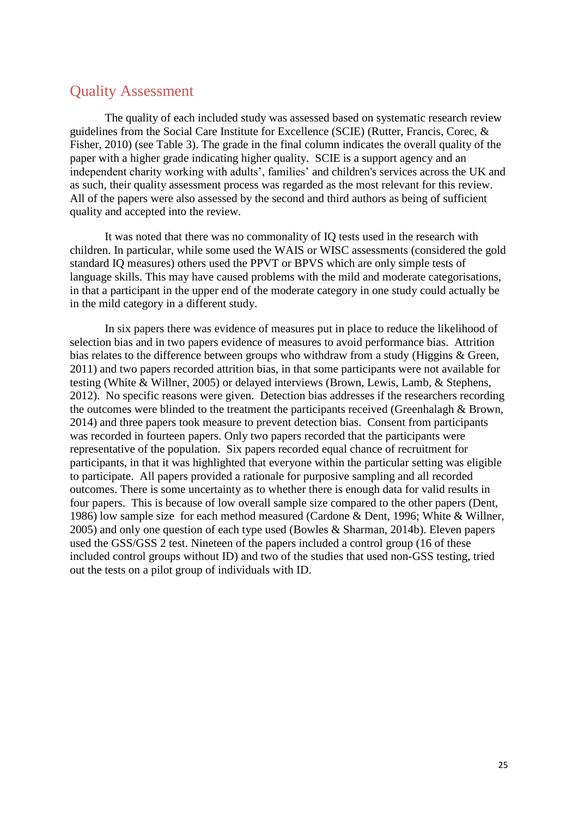#### Quality Assessment

The quality of each included study was assessed based on systematic research review guidelines from the Social Care Institute for Excellence (SCIE) (Rutter, Francis, Corec, & Fisher, 2010) (see Table 3). The grade in the final column indicates the overall quality of the paper with a higher grade indicating higher quality. SCIE is a support agency and an independent charity working with adults', families' and children's services across the UK and as such, their quality assessment process was regarded as the most relevant for this review. All of the papers were also assessed by the second and third authors as being of sufficient quality and accepted into the review.

It was noted that there was no commonality of IQ tests used in the research with children. In particular, while some used the WAIS or WISC assessments (considered the gold standard IQ measures) others used the PPVT or BPVS which are only simple tests of language skills. This may have caused problems with the mild and moderate categorisations, in that a participant in the upper end of the moderate category in one study could actually be in the mild category in a different study.

In six papers there was evidence of measures put in place to reduce the likelihood of selection bias and in two papers evidence of measures to avoid performance bias. Attrition bias relates to the difference between groups who withdraw from a study (Higgins & Green, 2011) and two papers recorded attrition bias, in that some participants were not available for testing (White & Willner, 2005) or delayed interviews (Brown, Lewis, Lamb, & Stephens, 2012). No specific reasons were given. Detection bias addresses if the researchers recording the outcomes were blinded to the treatment the participants received (Greenhalagh & Brown, 2014) and three papers took measure to prevent detection bias. Consent from participants was recorded in fourteen papers. Only two papers recorded that the participants were representative of the population. Six papers recorded equal chance of recruitment for participants, in that it was highlighted that everyone within the particular setting was eligible to participate. All papers provided a rationale for purposive sampling and all recorded outcomes. There is some uncertainty as to whether there is enough data for valid results in four papers. This is because of low overall sample size compared to the other papers (Dent, 1986) low sample size for each method measured (Cardone & Dent, 1996; White & Willner, 2005) and only one question of each type used (Bowles & Sharman, 2014b). Eleven papers used the GSS/GSS 2 test. Nineteen of the papers included a control group (16 of these included control groups without ID) and two of the studies that used non-GSS testing, tried out the tests on a pilot group of individuals with ID.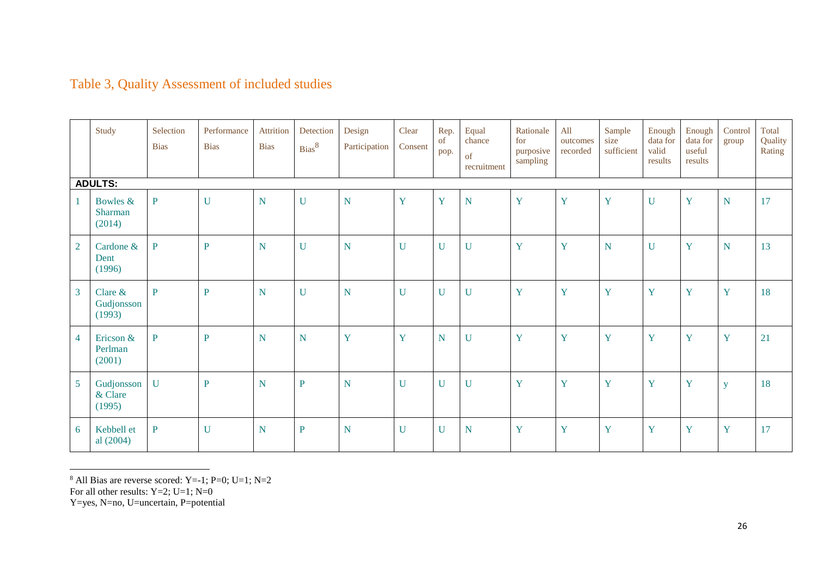|                 | Study                                | Selection<br><b>Bias</b> | Performance<br><b>Bias</b> | Attrition<br><b>Bias</b> | Detection<br>Bias <sup>8</sup> | Design<br>Participation | Clear<br>Consent | Rep.<br><sub>of</sub><br>pop. | Equal<br>chance<br>of<br>recruitment | Rationale<br>for<br>purposive<br>sampling | All<br>outcomes<br>recorded | Sample<br>size<br>sufficient | Enough<br>data for<br>valid<br>results | Enough<br>data for<br>useful<br>results | Control<br>group        | Total<br>Quality<br>Rating |
|-----------------|--------------------------------------|--------------------------|----------------------------|--------------------------|--------------------------------|-------------------------|------------------|-------------------------------|--------------------------------------|-------------------------------------------|-----------------------------|------------------------------|----------------------------------------|-----------------------------------------|-------------------------|----------------------------|
|                 | <b>ADULTS:</b>                       |                          |                            |                          |                                |                         |                  |                               |                                      |                                           |                             |                              |                                        |                                         |                         |                            |
|                 | Bowles &<br><b>Sharman</b><br>(2014) | $\mathbf{P}$             | $\mathbf U$                | $\mathbf N$              | $\mathbf U$                    | $\mathbf N$             | Y                | Y                             | $\overline{N}$                       | Y                                         | Y                           | Y                            | $\mathbf U$                            | Y                                       | $\overline{\mathbf{N}}$ | 17                         |
| $\overline{2}$  | Cardone &<br>Dent<br>(1996)          | $\mathbf{P}$             | $\mathbf{P}$               | N                        | $\mathbf U$                    | $\mathbf N$             | $\mathbf U$      | $\mathbf U$                   | $\mathbf U$                          | Y                                         | Y                           | $\overline{N}$               | $\mathbf{U}$                           | Y                                       | $\overline{N}$          | 13                         |
| $\overline{3}$  | Clare $&$<br>Gudjonsson<br>(1993)    | $\mathbf{P}$             | $\mathbf{P}$               | N                        | $\mathbf U$                    | $\mathbf N$             | $\mathbf U$      | $\mathbf U$                   | $\mathbf U$                          | Y                                         | Y                           | Y                            | Y                                      | Y                                       | Y                       | 18                         |
| $\overline{4}$  | Ericson &<br>Perlman<br>(2001)       | $\mathbf{P}$             | $\mathbf{P}$               | ${\bf N}$                | $\mathbf N$                    | Y                       | Y                | $\mathbf N$                   | $\mathbf U$                          | Y                                         | Y                           | Y                            | Y                                      | Y                                       | Y                       | 21                         |
| $5\overline{)}$ | Gudjonsson<br>& Clare<br>(1995)      | $\mathbf U$              | $\mathbf{P}$               | $\mathbf N$              | $\, {\bf P}$                   | N                       | $\mathbf U$      | $\mathbf U$                   | $\mathbf{U}$                         | Y                                         | Y                           | Y                            | Y                                      | Y                                       | y                       | 18                         |
| 6               | Kebbell et<br>al $(2004)$            | $\mathbf{P}$             | $\mathbf U$                | N                        | ${\bf P}$                      | $\overline{N}$          | $\mathbf U$      | $\mathbf U$                   | $\mathbf N$                          | Y                                         | Y                           | Y                            | Y                                      | Y                                       | Y                       | 17                         |

### Table 3, Quality Assessment of included studies

 $\overline{a}$ 

 $8$  All Bias are reverse scored: Y=-1; P=0; U=1; N=2

For all other results: Y=2; U=1; N=0

Y=yes, N=no, U=uncertain, P=potential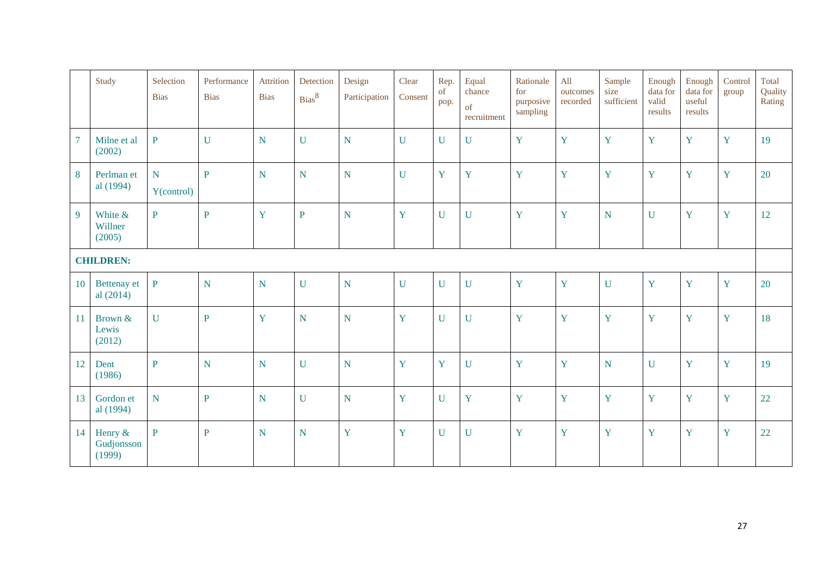|    | Study                             | Selection<br><b>Bias</b> | Performance<br><b>Bias</b> | <b>Attrition</b><br><b>Bias</b> | Detection<br>Bias <sup>8</sup> | Design<br>Participation | Clear<br>Consent | Rep.<br>of<br>pop. | Equal<br>chance<br>of<br>recruitment | Rationale<br>for<br>purposive<br>sampling | All<br>outcomes<br>recorded | Sample<br>size<br>sufficient | Enough<br>data for<br>valid<br>results | Enough<br>data for<br>useful<br>results | Control<br>group | Total<br>Quality<br>Rating |
|----|-----------------------------------|--------------------------|----------------------------|---------------------------------|--------------------------------|-------------------------|------------------|--------------------|--------------------------------------|-------------------------------------------|-----------------------------|------------------------------|----------------------------------------|-----------------------------------------|------------------|----------------------------|
|    | Milne et al<br>(2002)             | $\mathbf{P}$             | $\mathbf U$                | $\mathbf N$                     | $\mathbf U$                    | ${\bf N}$               | $\mathbf U$      | $\mathbf U$        | $\mathbf U$                          | Y                                         | Y                           | Y                            | Y                                      | Y                                       | Y                | 19                         |
| 8  | Perlman et<br>al (1994)           | N<br>Y(control)          | $\mathbf{P}$               | ${\bf N}$                       | N                              | ${\bf N}$               | $\mathbf U$      | Y                  | Y                                    | Y                                         | Y                           | Y                            | Y                                      | Y                                       | Y                | 20                         |
| 9  | White &<br>Willner<br>(2005)      | $\mathbf{P}$             | P                          | Y                               | $\overline{P}$                 | $\overline{\mathbf{N}}$ | Y                | $\mathbf U$        | $\mathbf U$                          | Y                                         | Y                           | $\overline{N}$               | $\mathbf U$                            | Y                                       | Y                | 12                         |
|    | <b>CHILDREN:</b>                  |                          |                            |                                 |                                |                         |                  |                    |                                      |                                           |                             |                              |                                        |                                         |                  |                            |
| 10 | <b>Bettenay</b> et<br>al $(2014)$ | $\mathbf{P}$             | $\mathbf N$                | N                               | $\mathbf U$                    | ${\bf N}$               | $\mathbf U$      | $\overline{U}$     | $\mathbf U$                          | Y                                         | Y                           | $\mathbf U$                  | Y                                      | Y                                       | Y                | 20                         |
| 11 | Brown &<br>Lewis<br>(2012)        | $\mathbf{U}$             | $\mathbf{P}$               | Y                               | N                              | $\overline{\mathbf{N}}$ | Y                | $\mathbf U$        | $\mathbf U$                          | Y                                         | Y                           | Y                            | Y                                      | Y                                       | Y                | 18                         |
| 12 | Dent<br>(1986)                    | $\mathbf{P}$             | ${\bf N}$                  | N                               | $\ensuremath{\mathbf{U}}$      | ${\bf N}$               | Y                | Y                  | $\mathbf U$                          | Y                                         | Y                           | ${\bf N}$                    | $\mathbf U$                            | Y                                       | Y                | 19                         |
| 13 | Gordon et<br>al (1994)            | $\mathbf N$              | ${\bf P}$                  | $\mathbf N$                     | $\mathbf U$                    | ${\bf N}$               | Y                | $\mathbf U$        | Y                                    | Y                                         | Y                           | Y                            | Y                                      | Y                                       | Y                | 22                         |
| 14 | Henry &<br>Gudjonsson<br>(1999)   | $\mathbf{P}$             | $\mathbf{P}$               | N                               | N                              | Y                       | Y                | $\mathbf U$        | $\mathbf U$                          | Y                                         | Y                           | Y                            | Y                                      | Y                                       | Y                | 22                         |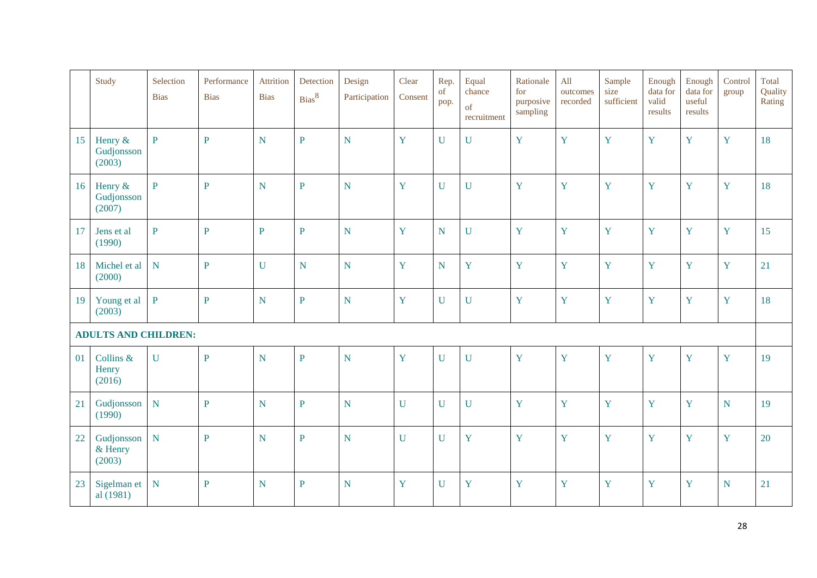|    | Study                           | Selection<br><b>Bias</b> | Performance<br><b>Bias</b> | Attrition<br><b>Bias</b> | Detection<br>Bias <sup>8</sup> | Design<br>Participation | Clear<br>Consent | Rep.<br>$\sigma$<br>pop. | Equal<br>chance<br>of<br>recruitment | Rationale<br>for<br>purposive<br>sampling | All<br>outcomes<br>recorded | Sample<br>size<br>sufficient | Enough<br>data for<br>valid<br>results | Enough<br>data for<br>useful<br>results | Control<br>group | Total<br>Quality<br>Rating |
|----|---------------------------------|--------------------------|----------------------------|--------------------------|--------------------------------|-------------------------|------------------|--------------------------|--------------------------------------|-------------------------------------------|-----------------------------|------------------------------|----------------------------------------|-----------------------------------------|------------------|----------------------------|
| 15 | Henry &<br>Gudjonsson<br>(2003) | $\mathbf{P}$             | $\overline{P}$             | $\overline{N}$           | $\mathbf{P}$                   | N                       | Y                | $\mathbf U$              | $\mathbf U$                          | Y                                         | Y                           | Y                            | Y                                      | Y                                       | Y                | 18                         |
| 16 | Henry &<br>Gudjonsson<br>(2007) | $\mathbf{P}$             | $\overline{P}$             | $\overline{\mathbf{N}}$  | $\mathbf{P}$                   | $\overline{N}$          | Y                | $\mathbf U$              | $\mathbf U$                          | Y                                         | Y                           | Y                            | Y                                      | Y                                       | Y                | 18                         |
| 17 | Jens et al<br>(1990)            | $\overline{P}$           | $\overline{P}$             | $\overline{P}$           | $\overline{P}$                 | $\overline{N}$          | Y                | $\overline{N}$           | $\mathbf U$                          | Y                                         | Y                           | Y                            | Y                                      | Y                                       | Y                | 15                         |
| 18 | Michel et al<br>(2000)          | ${\bf N}$                | $\mathbf{P}$               | $\mathbf U$              | ${\bf N}$                      | $\mathbf N$             | Y                | ${\bf N}$                | Y                                    | Y                                         | Y                           | Y                            | Y                                      | Y                                       | Y                | 21                         |
| 19 | Young et al<br>(2003)           | $\overline{P}$           | $\mathbf{P}$               | ${\bf N}$                | $\mathbf{P}$                   | $\overline{N}$          | Y                | $\mathbf U$              | $\mathbf U$                          | Y                                         | Y                           | Y                            | Y                                      | Y                                       | Y                | 18                         |
|    | <b>ADULTS AND CHILDREN:</b>     |                          |                            |                          |                                |                         |                  |                          |                                      |                                           |                             |                              |                                        |                                         |                  |                            |
| 01 | Collins &<br>Henry<br>(2016)    | $\mathbf U$              | ${\bf P}$                  | ${\bf N}$                | $\mathbf{P}$                   | $\overline{N}$          | Y                | $\mathbf U$              | $\mathbf U$                          | Y                                         | Y                           | Y                            | $\mathbf Y$                            | Y                                       | Y                | 19                         |
| 21 | Gudjonsson<br>(1990)            | $\overline{\mathbf{N}}$  | $\mathbf{P}$               | $\mathbf N$              | $\mathbf{P}$                   | $\overline{N}$          | $\mathbf{U}$     | $\mathbf U$              | $\mathbf U$                          | Y                                         | Y                           | Y                            | Y                                      | Y                                       | $\mathbf N$      | 19                         |
| 22 | Gudjonsson<br>& Henry<br>(2003) | $\overline{\textbf{N}}$  | $\mathbf{P}$               | $\overline{N}$           | $\mathbf{P}$                   | $\overline{N}$          | $\mathbf{U}$     | $\mathbf U$              | Y                                    | Y                                         | Y                           | Y                            | Y                                      | Y                                       | Y                | 20                         |
| 23 | Sigelman et<br>al (1981)        | ${\bf N}$                | $\mathbf{P}$               | ${\bf N}$                | ${\bf P}$                      | N                       | Y                | $\mathbf U$              | Y                                    | Y                                         | Y                           | Y                            | Y                                      | Y                                       | ${\bf N}$        | 21                         |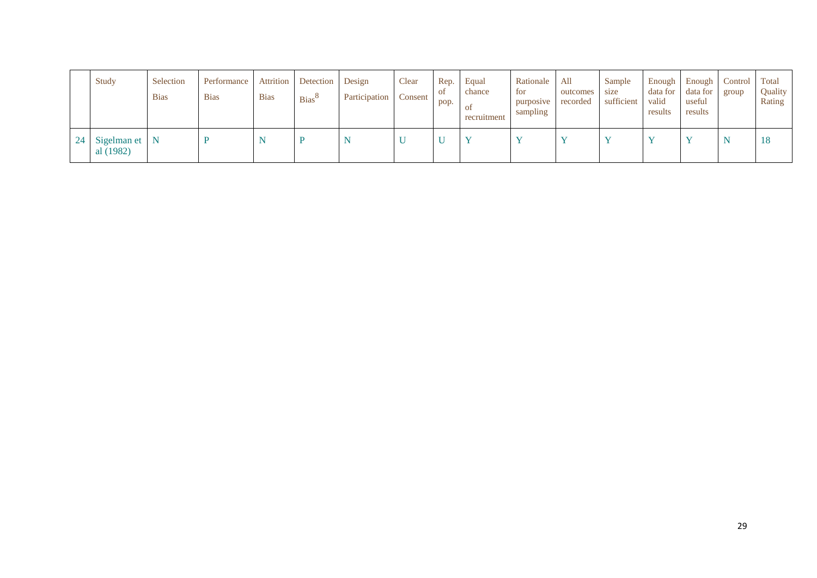|    | Study                      | Selection<br><b>Bias</b> | Performance<br><b>Bias</b> | Attrition<br><b>Bias</b> | Detection Design<br><b>Bias</b> <sup>o</sup> | Participation | Clear<br>Consent | Rep.<br>-ot<br>pop. | Equal<br>chance<br><sub>ot</sub><br>recruitment | Rationale<br>for<br>purposive<br>sampling | All<br>outcomes<br>recorded | Sample<br>size<br>sufficient | Enough<br>data for<br>valid<br>results | Enough<br>data for<br>useful<br>results | <b>Control</b><br>group | Total<br>Quality<br>Rating |
|----|----------------------------|--------------------------|----------------------------|--------------------------|----------------------------------------------|---------------|------------------|---------------------|-------------------------------------------------|-------------------------------------------|-----------------------------|------------------------------|----------------------------------------|-----------------------------------------|-------------------------|----------------------------|
| 24 | Sigelman et N<br>al (1982) |                          |                            |                          |                                              | N             | ◡                | <b>T</b> 1          |                                                 |                                           |                             |                              | $\mathbf{v}$                           |                                         |                         | 18                         |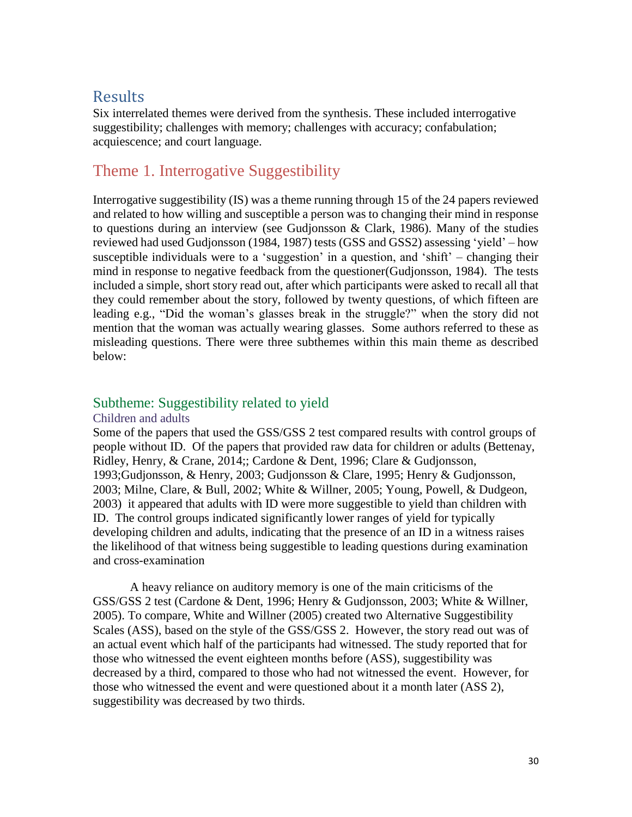### **Results**

Six interrelated themes were derived from the synthesis. These included interrogative suggestibility; challenges with memory; challenges with accuracy; confabulation; acquiescence; and court language.

### Theme 1. Interrogative Suggestibility

Interrogative suggestibility (IS) was a theme running through 15 of the 24 papers reviewed and related to how willing and susceptible a person was to changing their mind in response to questions during an interview (see Gudjonsson & Clark, 1986). Many of the studies reviewed had used Gudjonsson (1984, 1987) tests (GSS and GSS2) assessing 'yield' – how susceptible individuals were to a 'suggestion' in a question, and 'shift' – changing their mind in response to negative feedback from the questioner(Gudjonsson, 1984). The tests included a simple, short story read out, after which participants were asked to recall all that they could remember about the story, followed by twenty questions, of which fifteen are leading e.g., "Did the woman's glasses break in the struggle?" when the story did not mention that the woman was actually wearing glasses. Some authors referred to these as misleading questions. There were three subthemes within this main theme as described below:

#### Subtheme: Suggestibility related to yield

#### Children and adults

Some of the papers that used the GSS/GSS 2 test compared results with control groups of people without ID. Of the papers that provided raw data for children or adults (Bettenay, Ridley, Henry, & Crane, 2014;; Cardone & Dent, 1996; Clare & Gudjonsson, 1993;Gudjonsson, & Henry, 2003; Gudjonsson & Clare, 1995; Henry & Gudjonsson, 2003; Milne, Clare, & Bull, 2002; White & Willner, 2005; Young, Powell, & Dudgeon, 2003) it appeared that adults with ID were more suggestible to yield than children with ID. The control groups indicated significantly lower ranges of yield for typically developing children and adults, indicating that the presence of an ID in a witness raises the likelihood of that witness being suggestible to leading questions during examination and cross-examination

A heavy reliance on auditory memory is one of the main criticisms of the GSS/GSS 2 test (Cardone & Dent, 1996; Henry & Gudjonsson, 2003; White & Willner, 2005). To compare, White and Willner (2005) created two Alternative Suggestibility Scales (ASS), based on the style of the GSS/GSS 2. However, the story read out was of an actual event which half of the participants had witnessed. The study reported that for those who witnessed the event eighteen months before (ASS), suggestibility was decreased by a third, compared to those who had not witnessed the event. However, for those who witnessed the event and were questioned about it a month later (ASS 2), suggestibility was decreased by two thirds.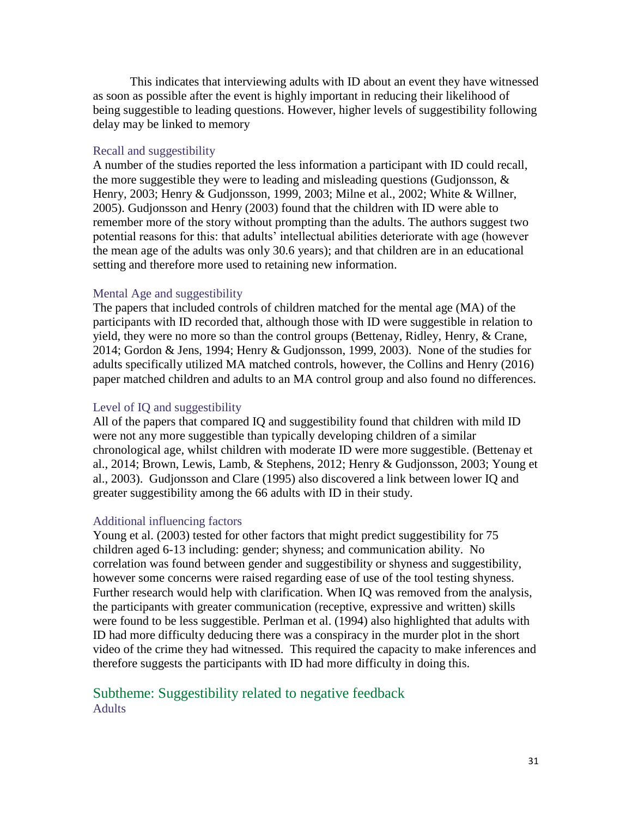This indicates that interviewing adults with ID about an event they have witnessed as soon as possible after the event is highly important in reducing their likelihood of being suggestible to leading questions. However, higher levels of suggestibility following delay may be linked to memory

#### Recall and suggestibility

A number of the studies reported the less information a participant with ID could recall, the more suggestible they were to leading and misleading questions (Gudjonsson,  $\&$ Henry, 2003; Henry & Gudjonsson, 1999, 2003; Milne et al., 2002; White & Willner, 2005). Gudjonsson and Henry (2003) found that the children with ID were able to remember more of the story without prompting than the adults. The authors suggest two potential reasons for this: that adults' intellectual abilities deteriorate with age (however the mean age of the adults was only 30.6 years); and that children are in an educational setting and therefore more used to retaining new information.

#### Mental Age and suggestibility

The papers that included controls of children matched for the mental age (MA) of the participants with ID recorded that, although those with ID were suggestible in relation to yield, they were no more so than the control groups (Bettenay, Ridley, Henry, & Crane, 2014; Gordon & Jens, 1994; Henry & Gudjonsson, 1999, 2003). None of the studies for adults specifically utilized MA matched controls, however, the Collins and Henry (2016) paper matched children and adults to an MA control group and also found no differences.

#### Level of IQ and suggestibility

All of the papers that compared IQ and suggestibility found that children with mild ID were not any more suggestible than typically developing children of a similar chronological age, whilst children with moderate ID were more suggestible. (Bettenay et al., 2014; Brown, Lewis, Lamb, & Stephens, 2012; Henry & Gudjonsson, 2003; Young et al., 2003). Gudjonsson and Clare (1995) also discovered a link between lower IQ and greater suggestibility among the 66 adults with ID in their study.

#### Additional influencing factors

Young et al. (2003) tested for other factors that might predict suggestibility for 75 children aged 6-13 including: gender; shyness; and communication ability. No correlation was found between gender and suggestibility or shyness and suggestibility, however some concerns were raised regarding ease of use of the tool testing shyness. Further research would help with clarification. When IQ was removed from the analysis, the participants with greater communication (receptive, expressive and written) skills were found to be less suggestible. Perlman et al. (1994) also highlighted that adults with ID had more difficulty deducing there was a conspiracy in the murder plot in the short video of the crime they had witnessed. This required the capacity to make inferences and therefore suggests the participants with ID had more difficulty in doing this.

#### Subtheme: Suggestibility related to negative feedback Adults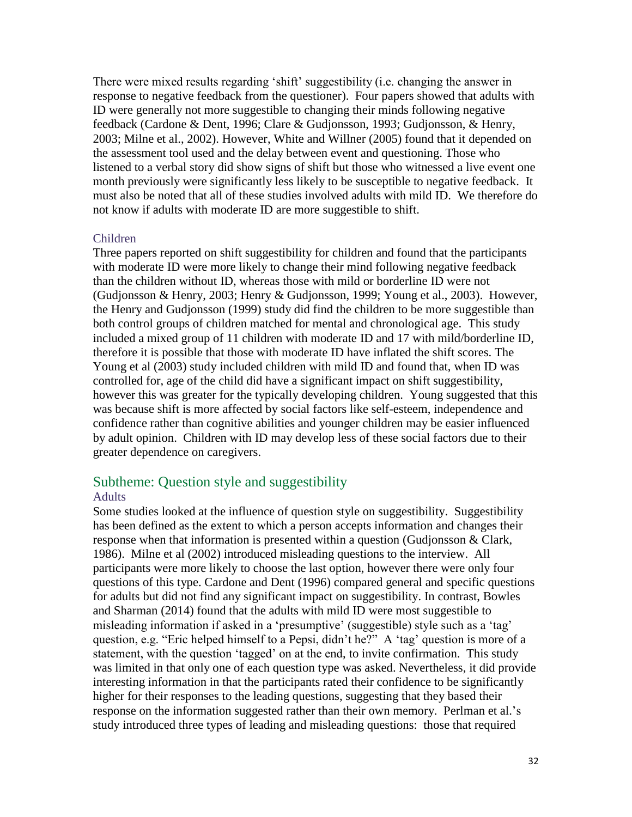There were mixed results regarding 'shift' suggestibility (i.e. changing the answer in response to negative feedback from the questioner). Four papers showed that adults with ID were generally not more suggestible to changing their minds following negative feedback (Cardone & Dent, 1996; Clare & Gudjonsson, 1993; Gudjonsson, & Henry, 2003; Milne et al., 2002). However, White and Willner (2005) found that it depended on the assessment tool used and the delay between event and questioning. Those who listened to a verbal story did show signs of shift but those who witnessed a live event one month previously were significantly less likely to be susceptible to negative feedback. It must also be noted that all of these studies involved adults with mild ID. We therefore do not know if adults with moderate ID are more suggestible to shift.

#### Children

Three papers reported on shift suggestibility for children and found that the participants with moderate ID were more likely to change their mind following negative feedback than the children without ID, whereas those with mild or borderline ID were not (Gudjonsson & Henry, 2003; Henry & Gudjonsson, 1999; Young et al., 2003). However, the Henry and Gudjonsson (1999) study did find the children to be more suggestible than both control groups of children matched for mental and chronological age. This study included a mixed group of 11 children with moderate ID and 17 with mild/borderline ID, therefore it is possible that those with moderate ID have inflated the shift scores. The Young et al (2003) study included children with mild ID and found that, when ID was controlled for, age of the child did have a significant impact on shift suggestibility, however this was greater for the typically developing children. Young suggested that this was because shift is more affected by social factors like self-esteem, independence and confidence rather than cognitive abilities and younger children may be easier influenced by adult opinion. Children with ID may develop less of these social factors due to their greater dependence on caregivers.

#### Subtheme: Question style and suggestibility

#### Adults

Some studies looked at the influence of question style on suggestibility. Suggestibility has been defined as the extent to which a person accepts information and changes their response when that information is presented within a question (Gudjonsson & Clark, 1986). Milne et al (2002) introduced misleading questions to the interview. All participants were more likely to choose the last option, however there were only four questions of this type. Cardone and Dent (1996) compared general and specific questions for adults but did not find any significant impact on suggestibility. In contrast, Bowles and Sharman (2014) found that the adults with mild ID were most suggestible to misleading information if asked in a 'presumptive' (suggestible) style such as a 'tag' question, e.g. "Eric helped himself to a Pepsi, didn't he?" A 'tag' question is more of a statement, with the question 'tagged' on at the end, to invite confirmation. This study was limited in that only one of each question type was asked. Nevertheless, it did provide interesting information in that the participants rated their confidence to be significantly higher for their responses to the leading questions, suggesting that they based their response on the information suggested rather than their own memory. Perlman et al.'s study introduced three types of leading and misleading questions: those that required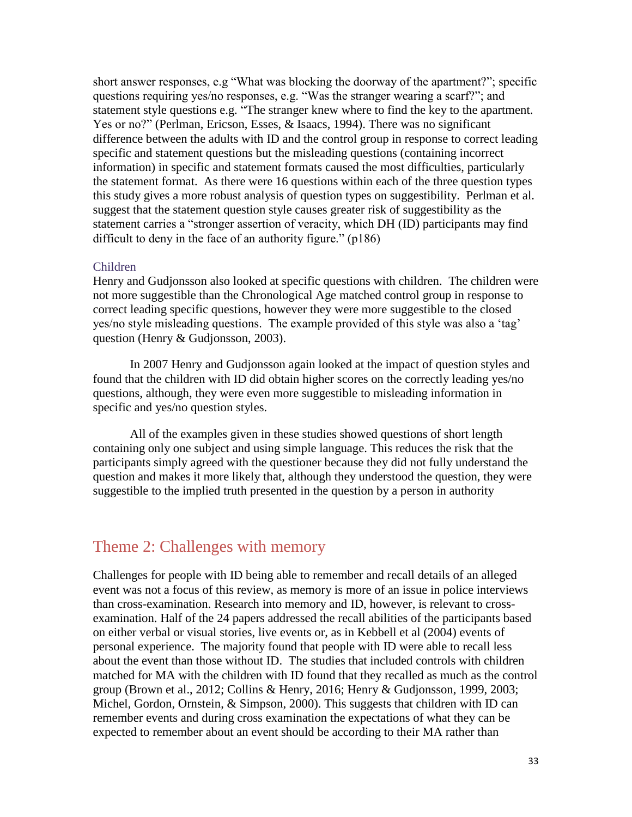short answer responses, e.g "What was blocking the doorway of the apartment?"; specific questions requiring yes/no responses, e.g. "Was the stranger wearing a scarf?"; and statement style questions e.g. "The stranger knew where to find the key to the apartment. Yes or no?" (Perlman, Ericson, Esses, & Isaacs, 1994). There was no significant difference between the adults with ID and the control group in response to correct leading specific and statement questions but the misleading questions (containing incorrect information) in specific and statement formats caused the most difficulties, particularly the statement format. As there were 16 questions within each of the three question types this study gives a more robust analysis of question types on suggestibility. Perlman et al. suggest that the statement question style causes greater risk of suggestibility as the statement carries a "stronger assertion of veracity, which DH (ID) participants may find difficult to deny in the face of an authority figure." (p186)

#### Children

Henry and Gudjonsson also looked at specific questions with children. The children were not more suggestible than the Chronological Age matched control group in response to correct leading specific questions, however they were more suggestible to the closed yes/no style misleading questions. The example provided of this style was also a 'tag' question (Henry & Gudjonsson, 2003).

In 2007 Henry and Gudjonsson again looked at the impact of question styles and found that the children with ID did obtain higher scores on the correctly leading yes/no questions, although, they were even more suggestible to misleading information in specific and yes/no question styles.

All of the examples given in these studies showed questions of short length containing only one subject and using simple language. This reduces the risk that the participants simply agreed with the questioner because they did not fully understand the question and makes it more likely that, although they understood the question, they were suggestible to the implied truth presented in the question by a person in authority

#### Theme 2: Challenges with memory

Challenges for people with ID being able to remember and recall details of an alleged event was not a focus of this review, as memory is more of an issue in police interviews than cross-examination. Research into memory and ID, however, is relevant to crossexamination. Half of the 24 papers addressed the recall abilities of the participants based on either verbal or visual stories, live events or, as in Kebbell et al (2004) events of personal experience. The majority found that people with ID were able to recall less about the event than those without ID. The studies that included controls with children matched for MA with the children with ID found that they recalled as much as the control group (Brown et al., 2012; Collins & Henry, 2016; Henry & Gudjonsson, 1999, 2003; Michel, Gordon, Ornstein, & Simpson, 2000). This suggests that children with ID can remember events and during cross examination the expectations of what they can be expected to remember about an event should be according to their MA rather than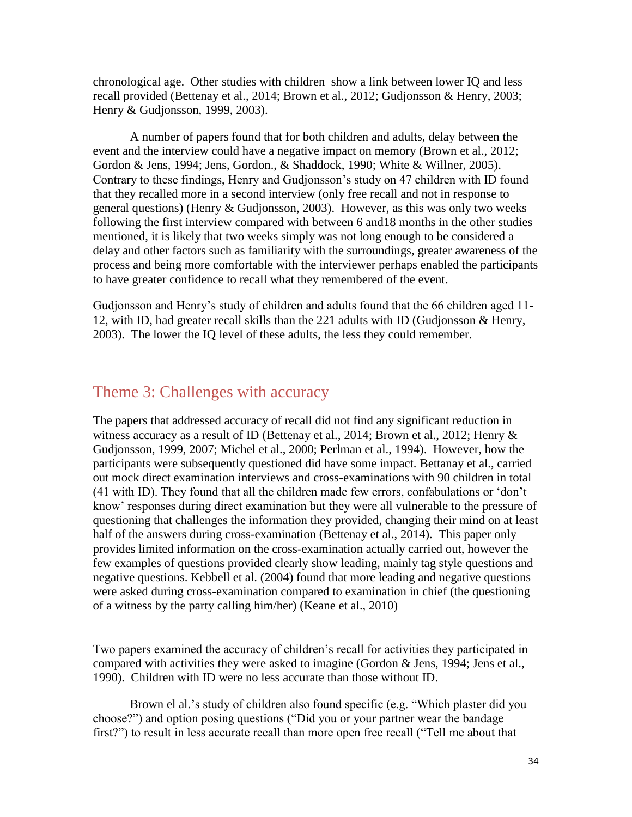chronological age. Other studies with children show a link between lower IQ and less recall provided (Bettenay et al., 2014; Brown et al., 2012; Gudjonsson & Henry, 2003; Henry & Gudjonsson, 1999, 2003).

A number of papers found that for both children and adults, delay between the event and the interview could have a negative impact on memory (Brown et al., 2012; Gordon & Jens, 1994; Jens, Gordon., & Shaddock, 1990; White & Willner, 2005). Contrary to these findings, Henry and Gudjonsson's study on 47 children with ID found that they recalled more in a second interview (only free recall and not in response to general questions) (Henry & Gudjonsson, 2003). However, as this was only two weeks following the first interview compared with between 6 and18 months in the other studies mentioned, it is likely that two weeks simply was not long enough to be considered a delay and other factors such as familiarity with the surroundings, greater awareness of the process and being more comfortable with the interviewer perhaps enabled the participants to have greater confidence to recall what they remembered of the event.

Gudjonsson and Henry's study of children and adults found that the 66 children aged 11- 12, with ID, had greater recall skills than the 221 adults with ID (Gudjonsson & Henry, 2003). The lower the IQ level of these adults, the less they could remember.

#### Theme 3: Challenges with accuracy

The papers that addressed accuracy of recall did not find any significant reduction in witness accuracy as a result of ID (Bettenay et al., 2014; Brown et al., 2012; Henry & Gudjonsson, 1999, 2007; Michel et al., 2000; Perlman et al., 1994). However, how the participants were subsequently questioned did have some impact. Bettanay et al., carried out mock direct examination interviews and cross-examinations with 90 children in total (41 with ID). They found that all the children made few errors, confabulations or 'don't know' responses during direct examination but they were all vulnerable to the pressure of questioning that challenges the information they provided, changing their mind on at least half of the answers during cross-examination (Bettenay et al., 2014). This paper only provides limited information on the cross-examination actually carried out, however the few examples of questions provided clearly show leading, mainly tag style questions and negative questions. Kebbell et al. (2004) found that more leading and negative questions were asked during cross-examination compared to examination in chief (the questioning of a witness by the party calling him/her) (Keane et al., 2010)

Two papers examined the accuracy of children's recall for activities they participated in compared with activities they were asked to imagine (Gordon & Jens, 1994; Jens et al., 1990). Children with ID were no less accurate than those without ID.

Brown el al.'s study of children also found specific (e.g. "Which plaster did you choose?") and option posing questions ("Did you or your partner wear the bandage first?") to result in less accurate recall than more open free recall ("Tell me about that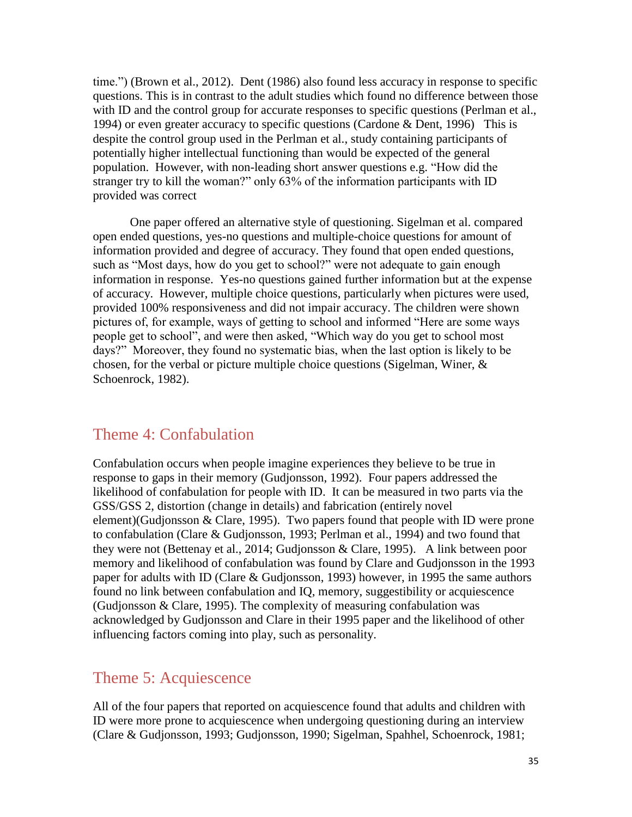time.") (Brown et al., 2012). Dent (1986) also found less accuracy in response to specific questions. This is in contrast to the adult studies which found no difference between those with ID and the control group for accurate responses to specific questions (Perlman et al., 1994) or even greater accuracy to specific questions (Cardone & Dent, 1996) This is despite the control group used in the Perlman et al., study containing participants of potentially higher intellectual functioning than would be expected of the general population. However, with non-leading short answer questions e.g. "How did the stranger try to kill the woman?" only 63% of the information participants with ID provided was correct

One paper offered an alternative style of questioning. Sigelman et al. compared open ended questions, yes-no questions and multiple-choice questions for amount of information provided and degree of accuracy. They found that open ended questions, such as "Most days, how do you get to school?" were not adequate to gain enough information in response. Yes-no questions gained further information but at the expense of accuracy. However, multiple choice questions, particularly when pictures were used, provided 100% responsiveness and did not impair accuracy. The children were shown pictures of, for example, ways of getting to school and informed "Here are some ways people get to school", and were then asked, "Which way do you get to school most days?" Moreover, they found no systematic bias, when the last option is likely to be chosen, for the verbal or picture multiple choice questions (Sigelman, Winer, & Schoenrock, 1982).

#### Theme 4: Confabulation

Confabulation occurs when people imagine experiences they believe to be true in response to gaps in their memory (Gudjonsson, 1992). Four papers addressed the likelihood of confabulation for people with ID. It can be measured in two parts via the GSS/GSS 2, distortion (change in details) and fabrication (entirely novel element)(Gudjonsson & Clare, 1995). Two papers found that people with ID were prone to confabulation (Clare & Gudjonsson, 1993; Perlman et al., 1994) and two found that they were not (Bettenay et al., 2014; Gudjonsson & Clare, 1995). A link between poor memory and likelihood of confabulation was found by Clare and Gudjonsson in the 1993 paper for adults with ID (Clare & Gudjonsson, 1993) however, in 1995 the same authors found no link between confabulation and IQ, memory, suggestibility or acquiescence (Gudjonsson & Clare, 1995). The complexity of measuring confabulation was acknowledged by Gudjonsson and Clare in their 1995 paper and the likelihood of other influencing factors coming into play, such as personality.

#### Theme 5: Acquiescence

All of the four papers that reported on acquiescence found that adults and children with ID were more prone to acquiescence when undergoing questioning during an interview (Clare & Gudjonsson, 1993; Gudjonsson, 1990; Sigelman, Spahhel, Schoenrock, 1981;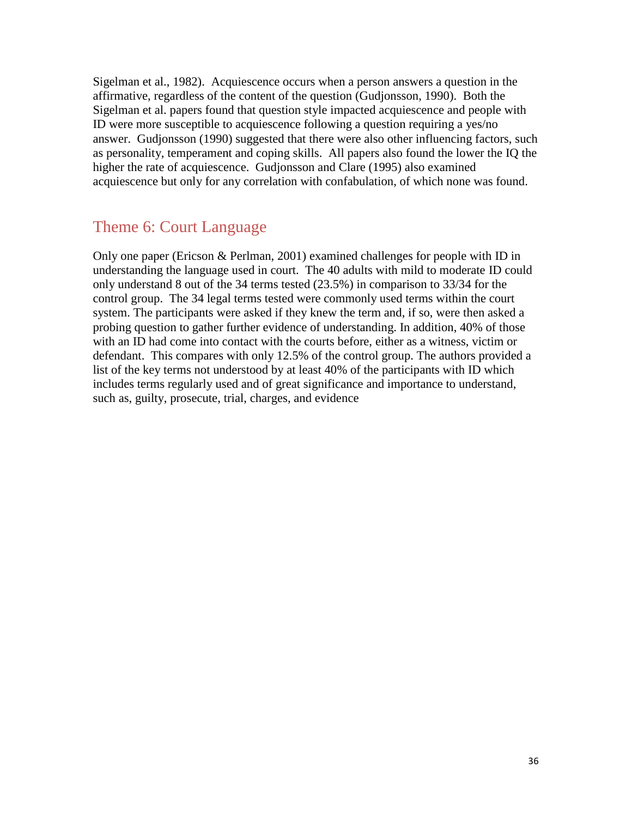Sigelman et al., 1982). Acquiescence occurs when a person answers a question in the affirmative, regardless of the content of the question (Gudjonsson, 1990). Both the Sigelman et al. papers found that question style impacted acquiescence and people with ID were more susceptible to acquiescence following a question requiring a yes/no answer. Gudjonsson (1990) suggested that there were also other influencing factors, such as personality, temperament and coping skills. All papers also found the lower the IQ the higher the rate of acquiescence. Gudjonsson and Clare (1995) also examined acquiescence but only for any correlation with confabulation, of which none was found.

#### Theme 6: Court Language

Only one paper (Ericson & Perlman, 2001) examined challenges for people with ID in understanding the language used in court. The 40 adults with mild to moderate ID could only understand 8 out of the 34 terms tested (23.5%) in comparison to 33/34 for the control group. The 34 legal terms tested were commonly used terms within the court system. The participants were asked if they knew the term and, if so, were then asked a probing question to gather further evidence of understanding. In addition, 40% of those with an ID had come into contact with the courts before, either as a witness, victim or defendant. This compares with only 12.5% of the control group. The authors provided a list of the key terms not understood by at least 40% of the participants with ID which includes terms regularly used and of great significance and importance to understand, such as, guilty, prosecute, trial, charges, and evidence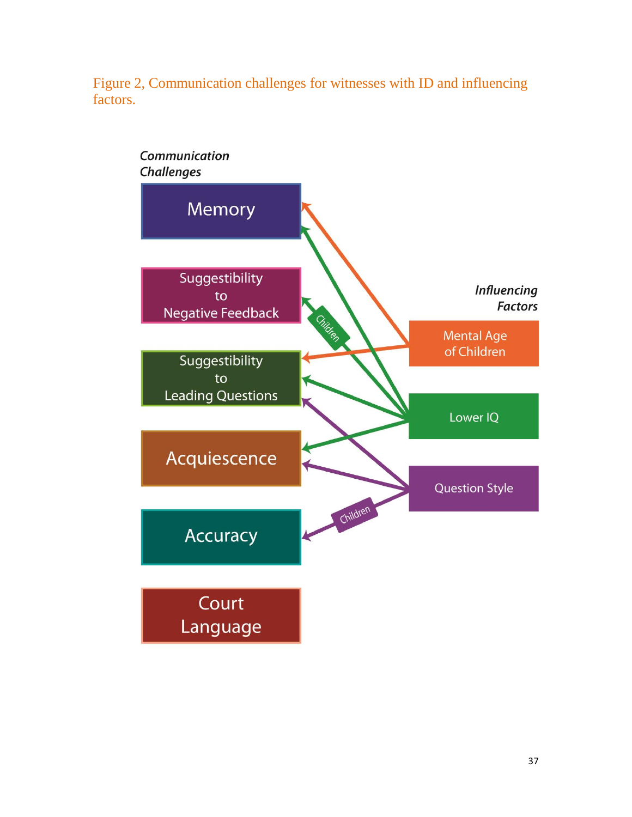

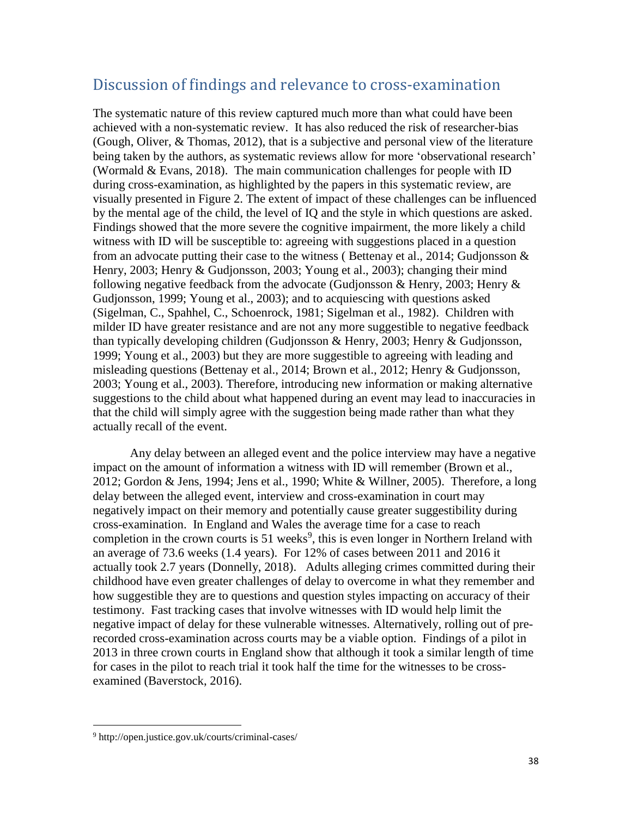### Discussion of findings and relevance to cross-examination

The systematic nature of this review captured much more than what could have been achieved with a non-systematic review. It has also reduced the risk of researcher-bias (Gough, Oliver, & Thomas, 2012), that is a subjective and personal view of the literature being taken by the authors, as systematic reviews allow for more 'observational research' (Wormald & Evans, 2018). The main communication challenges for people with ID during cross-examination, as highlighted by the papers in this systematic review, are visually presented in Figure 2. The extent of impact of these challenges can be influenced by the mental age of the child, the level of IQ and the style in which questions are asked. Findings showed that the more severe the cognitive impairment, the more likely a child witness with ID will be susceptible to: agreeing with suggestions placed in a question from an advocate putting their case to the witness ( Bettenay et al., 2014; Gudjonsson & Henry, 2003; Henry & Gudjonsson, 2003; Young et al., 2003); changing their mind following negative feedback from the advocate (Gudjonsson & Henry, 2003; Henry & Gudjonsson, 1999; Young et al., 2003); and to acquiescing with questions asked (Sigelman, C., Spahhel, C., Schoenrock, 1981; Sigelman et al., 1982). Children with milder ID have greater resistance and are not any more suggestible to negative feedback than typically developing children (Gudjonsson & Henry, 2003; Henry & Gudjonsson, 1999; Young et al., 2003) but they are more suggestible to agreeing with leading and misleading questions (Bettenay et al., 2014; Brown et al., 2012; Henry & Gudjonsson, 2003; Young et al., 2003). Therefore, introducing new information or making alternative suggestions to the child about what happened during an event may lead to inaccuracies in that the child will simply agree with the suggestion being made rather than what they actually recall of the event.

Any delay between an alleged event and the police interview may have a negative impact on the amount of information a witness with ID will remember (Brown et al., 2012; Gordon & Jens, 1994; Jens et al., 1990; White & Willner, 2005). Therefore, a long delay between the alleged event, interview and cross-examination in court may negatively impact on their memory and potentially cause greater suggestibility during cross-examination. In England and Wales the average time for a case to reach completion in the crown courts is  $51$  weeks<sup>9</sup>, this is even longer in Northern Ireland with an average of 73.6 weeks (1.4 years). For 12% of cases between 2011 and 2016 it actually took 2.7 years (Donnelly, 2018). Adults alleging crimes committed during their childhood have even greater challenges of delay to overcome in what they remember and how suggestible they are to questions and question styles impacting on accuracy of their testimony. Fast tracking cases that involve witnesses with ID would help limit the negative impact of delay for these vulnerable witnesses. Alternatively, rolling out of prerecorded cross-examination across courts may be a viable option. Findings of a pilot in 2013 in three crown courts in England show that although it took a similar length of time for cases in the pilot to reach trial it took half the time for the witnesses to be crossexamined (Baverstock, 2016).

 $\overline{a}$ 

<sup>9</sup> http://open.justice.gov.uk/courts/criminal-cases/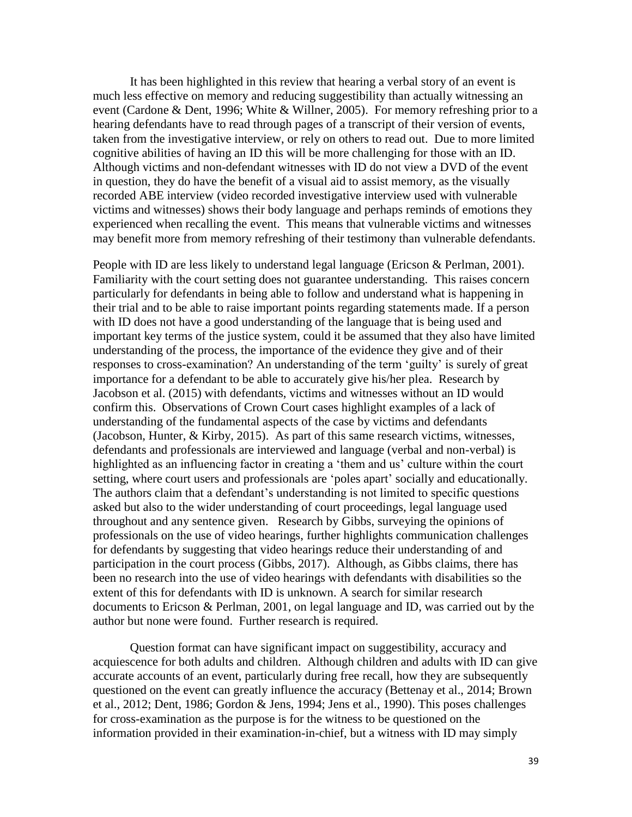It has been highlighted in this review that hearing a verbal story of an event is much less effective on memory and reducing suggestibility than actually witnessing an event (Cardone & Dent, 1996; White & Willner, 2005). For memory refreshing prior to a hearing defendants have to read through pages of a transcript of their version of events, taken from the investigative interview, or rely on others to read out. Due to more limited cognitive abilities of having an ID this will be more challenging for those with an ID. Although victims and non-defendant witnesses with ID do not view a DVD of the event in question, they do have the benefit of a visual aid to assist memory, as the visually recorded ABE interview (video recorded investigative interview used with vulnerable victims and witnesses) shows their body language and perhaps reminds of emotions they experienced when recalling the event. This means that vulnerable victims and witnesses may benefit more from memory refreshing of their testimony than vulnerable defendants.

People with ID are less likely to understand legal language (Ericson & Perlman, 2001). Familiarity with the court setting does not guarantee understanding. This raises concern particularly for defendants in being able to follow and understand what is happening in their trial and to be able to raise important points regarding statements made. If a person with ID does not have a good understanding of the language that is being used and important key terms of the justice system, could it be assumed that they also have limited understanding of the process, the importance of the evidence they give and of their responses to cross-examination? An understanding of the term 'guilty' is surely of great importance for a defendant to be able to accurately give his/her plea. Research by Jacobson et al. (2015) with defendants, victims and witnesses without an ID would confirm this. Observations of Crown Court cases highlight examples of a lack of understanding of the fundamental aspects of the case by victims and defendants (Jacobson, Hunter, & Kirby, 2015). As part of this same research victims, witnesses, defendants and professionals are interviewed and language (verbal and non-verbal) is highlighted as an influencing factor in creating a 'them and us' culture within the court setting, where court users and professionals are 'poles apart' socially and educationally. The authors claim that a defendant's understanding is not limited to specific questions asked but also to the wider understanding of court proceedings, legal language used throughout and any sentence given. Research by Gibbs, surveying the opinions of professionals on the use of video hearings, further highlights communication challenges for defendants by suggesting that video hearings reduce their understanding of and participation in the court process (Gibbs, 2017). Although, as Gibbs claims, there has been no research into the use of video hearings with defendants with disabilities so the extent of this for defendants with ID is unknown. A search for similar research documents to Ericson & Perlman, 2001, on legal language and ID, was carried out by the author but none were found. Further research is required.

Question format can have significant impact on suggestibility, accuracy and acquiescence for both adults and children. Although children and adults with ID can give accurate accounts of an event, particularly during free recall, how they are subsequently questioned on the event can greatly influence the accuracy (Bettenay et al., 2014; Brown et al., 2012; Dent, 1986; Gordon & Jens, 1994; Jens et al., 1990). This poses challenges for cross-examination as the purpose is for the witness to be questioned on the information provided in their examination-in-chief, but a witness with ID may simply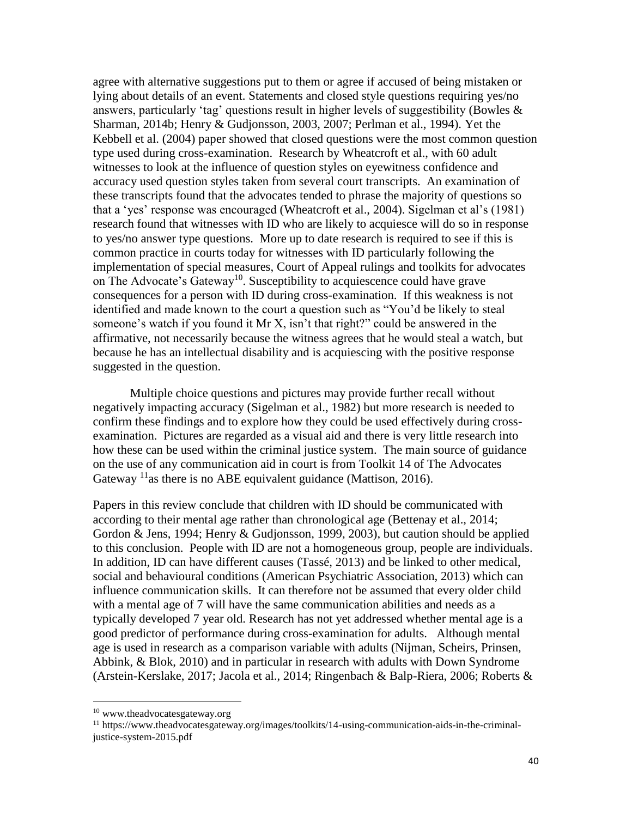agree with alternative suggestions put to them or agree if accused of being mistaken or lying about details of an event. Statements and closed style questions requiring yes/no answers, particularly 'tag' questions result in higher levels of suggestibility (Bowles & Sharman, 2014b; Henry & Gudjonsson, 2003, 2007; Perlman et al., 1994). Yet the Kebbell et al. (2004) paper showed that closed questions were the most common question type used during cross-examination. Research by Wheatcroft et al., with 60 adult witnesses to look at the influence of question styles on eyewitness confidence and accuracy used question styles taken from several court transcripts. An examination of these transcripts found that the advocates tended to phrase the majority of questions so that a 'yes' response was encouraged (Wheatcroft et al., 2004). Sigelman et al's (1981) research found that witnesses with ID who are likely to acquiesce will do so in response to yes/no answer type questions. More up to date research is required to see if this is common practice in courts today for witnesses with ID particularly following the implementation of special measures, Court of Appeal rulings and toolkits for advocates on The Advocate's Gateway<sup>10</sup>. Susceptibility to acquiescence could have grave consequences for a person with ID during cross-examination. If this weakness is not identified and made known to the court a question such as "You'd be likely to steal someone's watch if you found it Mr X, isn't that right?" could be answered in the affirmative, not necessarily because the witness agrees that he would steal a watch, but because he has an intellectual disability and is acquiescing with the positive response suggested in the question.

Multiple choice questions and pictures may provide further recall without negatively impacting accuracy (Sigelman et al., 1982) but more research is needed to confirm these findings and to explore how they could be used effectively during crossexamination. Pictures are regarded as a visual aid and there is very little research into how these can be used within the criminal justice system. The main source of guidance on the use of any communication aid in court is from Toolkit 14 of The Advocates Gateway  $^{11}$ as there is no ABE equivalent guidance (Mattison, 2016).

Papers in this review conclude that children with ID should be communicated with according to their mental age rather than chronological age (Bettenay et al., 2014; Gordon & Jens, 1994; Henry & Gudjonsson, 1999, 2003), but caution should be applied to this conclusion. People with ID are not a homogeneous group, people are individuals. In addition, ID can have different causes (Tassé, 2013) and be linked to other medical, social and behavioural conditions (American Psychiatric Association, 2013) which can influence communication skills. It can therefore not be assumed that every older child with a mental age of 7 will have the same communication abilities and needs as a typically developed 7 year old. Research has not yet addressed whether mental age is a good predictor of performance during cross-examination for adults. Although mental age is used in research as a comparison variable with adults (Nijman, Scheirs, Prinsen, Abbink, & Blok, 2010) and in particular in research with adults with Down Syndrome (Arstein-Kerslake, 2017; Jacola et al., 2014; Ringenbach & Balp-Riera, 2006; Roberts &

 $\overline{a}$ 

<sup>10</sup> www.theadvocatesgateway.org

<sup>11</sup> https://www.theadvocatesgateway.org/images/toolkits/14-using-communication-aids-in-the-criminaljustice-system-2015.pdf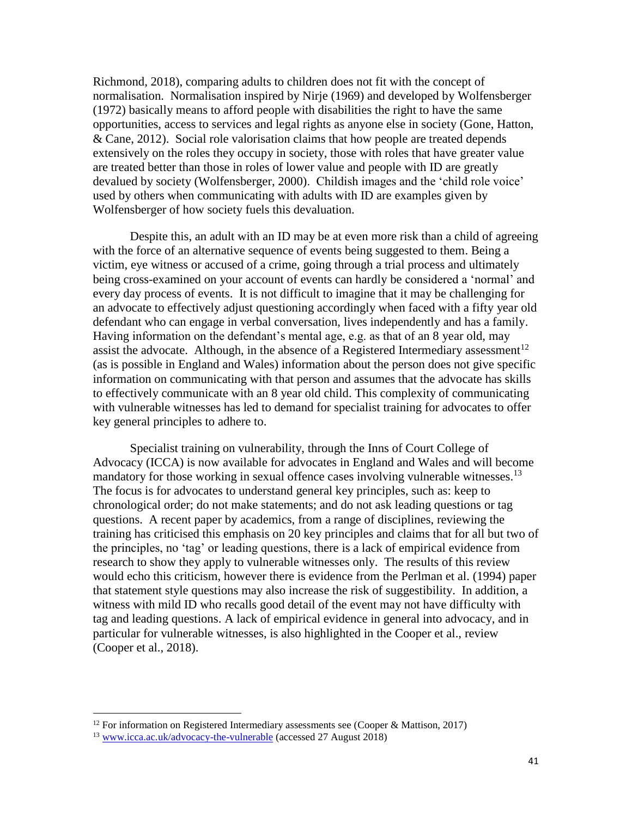Richmond, 2018), comparing adults to children does not fit with the concept of normalisation. Normalisation inspired by Nirje (1969) and developed by Wolfensberger (1972) basically means to afford people with disabilities the right to have the same opportunities, access to services and legal rights as anyone else in society (Gone, Hatton, & Cane, 2012). Social role valorisation claims that how people are treated depends extensively on the roles they occupy in society, those with roles that have greater value are treated better than those in roles of lower value and people with ID are greatly devalued by society (Wolfensberger, 2000). Childish images and the 'child role voice' used by others when communicating with adults with ID are examples given by Wolfensberger of how society fuels this devaluation.

Despite this, an adult with an ID may be at even more risk than a child of agreeing with the force of an alternative sequence of events being suggested to them. Being a victim, eye witness or accused of a crime, going through a trial process and ultimately being cross-examined on your account of events can hardly be considered a 'normal' and every day process of events. It is not difficult to imagine that it may be challenging for an advocate to effectively adjust questioning accordingly when faced with a fifty year old defendant who can engage in verbal conversation, lives independently and has a family. Having information on the defendant's mental age, e.g. as that of an 8 year old, may assist the advocate. Although, in the absence of a Registered Intermediary assessment<sup>12</sup> (as is possible in England and Wales) information about the person does not give specific information on communicating with that person and assumes that the advocate has skills to effectively communicate with an 8 year old child. This complexity of communicating with vulnerable witnesses has led to demand for specialist training for advocates to offer key general principles to adhere to.

Specialist training on vulnerability, through the Inns of Court College of Advocacy (ICCA) is now available for advocates in England and Wales and will become mandatory for those working in sexual offence cases involving vulnerable witnesses.<sup>13</sup> The focus is for advocates to understand general key principles, such as: keep to chronological order; do not make statements; and do not ask leading questions or tag questions. A recent paper by academics, from a range of disciplines, reviewing the training has criticised this emphasis on 20 key principles and claims that for all but two of the principles, no 'tag' or leading questions, there is a lack of empirical evidence from research to show they apply to vulnerable witnesses only. The results of this review would echo this criticism, however there is evidence from the Perlman et al. (1994) paper that statement style questions may also increase the risk of suggestibility. In addition, a witness with mild ID who recalls good detail of the event may not have difficulty with tag and leading questions. A lack of empirical evidence in general into advocacy, and in particular for vulnerable witnesses, is also highlighted in the Cooper et al., review (Cooper et al., 2018).

 $\overline{a}$ 

<sup>&</sup>lt;sup>12</sup> For information on Registered Intermediary assessments see (Cooper & Mattison, 2017)

<sup>13</sup> [www.icca.ac.uk/advocacy-the-vulnerable](http://www.icca.ac.uk/advocacy-the-vulnerable) (accessed 27 August 2018)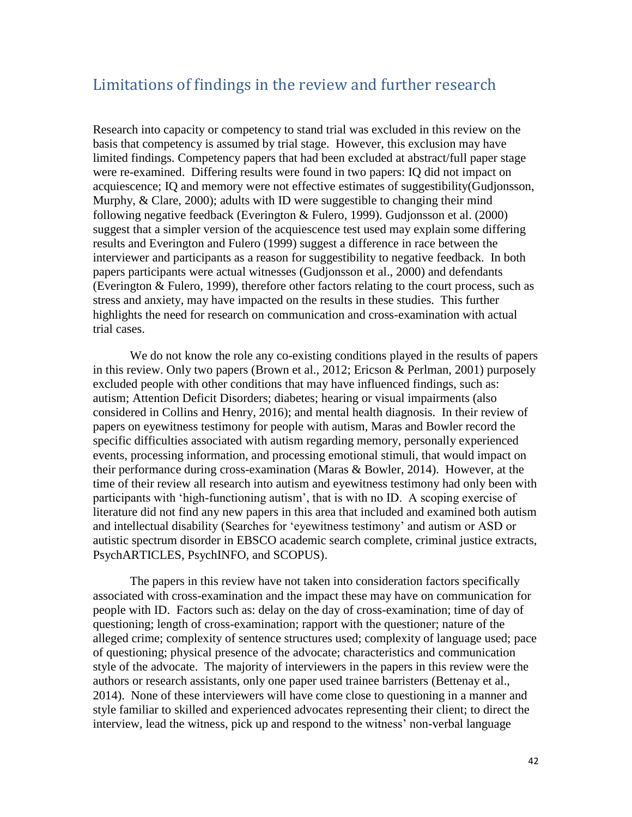#### Limitations of findings in the review and further research

Research into capacity or competency to stand trial was excluded in this review on the basis that competency is assumed by trial stage. However, this exclusion may have limited findings. Competency papers that had been excluded at abstract/full paper stage were re-examined. Differing results were found in two papers: IQ did not impact on acquiescence; IQ and memory were not effective estimates of suggestibility(Gudjonsson, Murphy, & Clare, 2000); adults with ID were suggestible to changing their mind following negative feedback (Everington & Fulero, 1999). Gudjonsson et al. (2000) suggest that a simpler version of the acquiescence test used may explain some differing results and Everington and Fulero (1999) suggest a difference in race between the interviewer and participants as a reason for suggestibility to negative feedback. In both papers participants were actual witnesses (Gudjonsson et al., 2000) and defendants (Everington & Fulero, 1999), therefore other factors relating to the court process, such as stress and anxiety, may have impacted on the results in these studies. This further highlights the need for research on communication and cross-examination with actual trial cases.

We do not know the role any co-existing conditions played in the results of papers in this review. Only two papers (Brown et al., 2012; Ericson & Perlman, 2001) purposely excluded people with other conditions that may have influenced findings, such as: autism; Attention Deficit Disorders; diabetes; hearing or visual impairments (also considered in Collins and Henry, 2016); and mental health diagnosis. In their review of papers on eyewitness testimony for people with autism, Maras and Bowler record the specific difficulties associated with autism regarding memory, personally experienced events, processing information, and processing emotional stimuli, that would impact on their performance during cross-examination (Maras & Bowler, 2014). However, at the time of their review all research into autism and eyewitness testimony had only been with participants with 'high-functioning autism', that is with no ID. A scoping exercise of literature did not find any new papers in this area that included and examined both autism and intellectual disability (Searches for 'eyewitness testimony' and autism or ASD or autistic spectrum disorder in EBSCO academic search complete, criminal justice extracts, PsychARTICLES, PsychINFO, and SCOPUS).

The papers in this review have not taken into consideration factors specifically associated with cross-examination and the impact these may have on communication for people with ID. Factors such as: delay on the day of cross-examination; time of day of questioning; length of cross-examination; rapport with the questioner; nature of the alleged crime; complexity of sentence structures used; complexity of language used; pace of questioning; physical presence of the advocate; characteristics and communication style of the advocate. The majority of interviewers in the papers in this review were the authors or research assistants, only one paper used trainee barristers (Bettenay et al., 2014). None of these interviewers will have come close to questioning in a manner and style familiar to skilled and experienced advocates representing their client; to direct the interview, lead the witness, pick up and respond to the witness' non-verbal language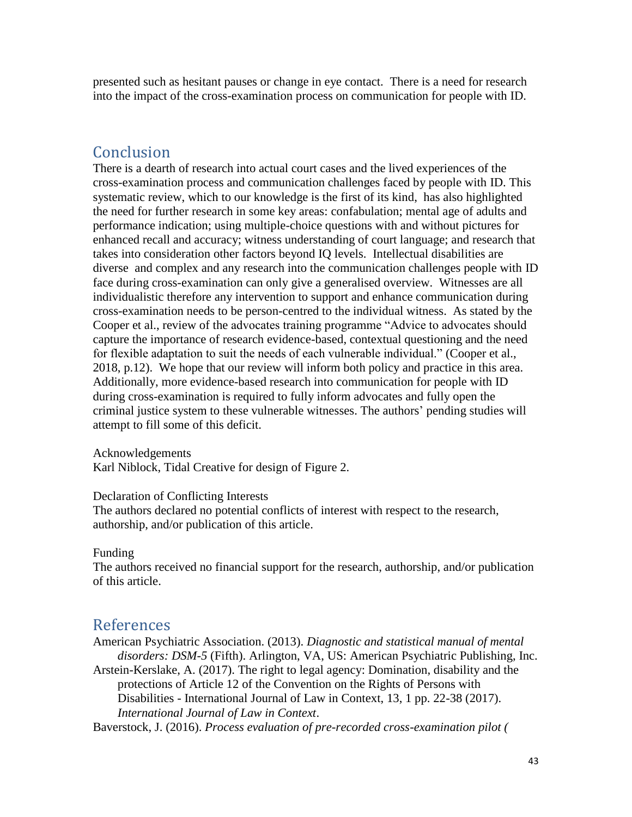presented such as hesitant pauses or change in eye contact. There is a need for research into the impact of the cross-examination process on communication for people with ID.

#### Conclusion

There is a dearth of research into actual court cases and the lived experiences of the cross-examination process and communication challenges faced by people with ID. This systematic review, which to our knowledge is the first of its kind, has also highlighted the need for further research in some key areas: confabulation; mental age of adults and performance indication; using multiple-choice questions with and without pictures for enhanced recall and accuracy; witness understanding of court language; and research that takes into consideration other factors beyond IQ levels. Intellectual disabilities are diverse and complex and any research into the communication challenges people with ID face during cross-examination can only give a generalised overview. Witnesses are all individualistic therefore any intervention to support and enhance communication during cross-examination needs to be person-centred to the individual witness. As stated by the Cooper et al., review of the advocates training programme "Advice to advocates should capture the importance of research evidence-based, contextual questioning and the need for flexible adaptation to suit the needs of each vulnerable individual." (Cooper et al., 2018, p.12). We hope that our review will inform both policy and practice in this area. Additionally, more evidence-based research into communication for people with ID during cross-examination is required to fully inform advocates and fully open the criminal justice system to these vulnerable witnesses. The authors' pending studies will attempt to fill some of this deficit.

Acknowledgements

Karl Niblock, Tidal Creative for design of Figure 2.

Declaration of Conflicting Interests

The authors declared no potential conflicts of interest with respect to the research, authorship, and/or publication of this article.

#### Funding

The authors received no financial support for the research, authorship, and/or publication of this article.

#### References

American Psychiatric Association. (2013). *Diagnostic and statistical manual of mental disorders: DSM-5* (Fifth). Arlington, VA, US: American Psychiatric Publishing, Inc. Arstein-Kerslake, A. (2017). The right to legal agency: Domination, disability and the

protections of Article 12 of the Convention on the Rights of Persons with Disabilities - International Journal of Law in Context, 13, 1 pp. 22-38 (2017). *International Journal of Law in Context*.

Baverstock, J. (2016). *Process evaluation of pre-recorded cross-examination pilot (*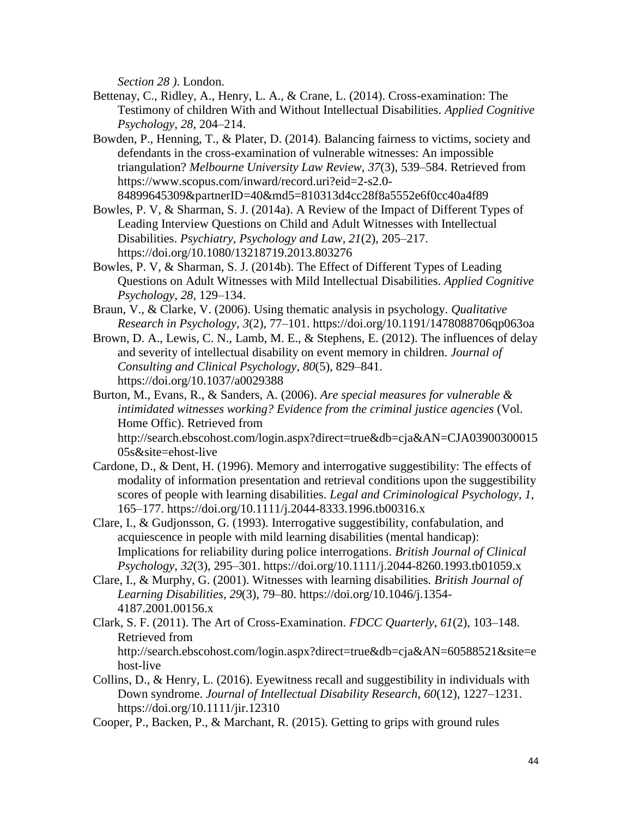*Section 28 )*. London.

- Bettenay, C., Ridley, A., Henry, L. A., & Crane, L. (2014). Cross-examination: The Testimony of children With and Without Intellectual Disabilities. *Applied Cognitive Psychology*, *28*, 204–214.
- Bowden, P., Henning, T., & Plater, D. (2014). Balancing fairness to victims, society and defendants in the cross-examination of vulnerable witnesses: An impossible triangulation? *Melbourne University Law Review*, *37*(3), 539–584. Retrieved from https://www.scopus.com/inward/record.uri?eid=2-s2.0- 84899645309&partnerID=40&md5=810313d4cc28f8a5552e6f0cc40a4f89
- Bowles, P. V, & Sharman, S. J. (2014a). A Review of the Impact of Different Types of Leading Interview Questions on Child and Adult Witnesses with Intellectual Disabilities. *Psychiatry, Psychology and Law*, *21*(2), 205–217. https://doi.org/10.1080/13218719.2013.803276
- Bowles, P. V, & Sharman, S. J. (2014b). The Effect of Different Types of Leading Questions on Adult Witnesses with Mild Intellectual Disabilities. *Applied Cognitive Psychology*, *28*, 129–134.
- Braun, V., & Clarke, V. (2006). Using thematic analysis in psychology. *Qualitative Research in Psychology*, *3*(2), 77–101. https://doi.org/10.1191/1478088706qp063oa
- Brown, D. A., Lewis, C. N., Lamb, M. E., & Stephens, E. (2012). The influences of delay and severity of intellectual disability on event memory in children. *Journal of Consulting and Clinical Psychology*, *80*(5), 829–841. https://doi.org/10.1037/a0029388
- Burton, M., Evans, R., & Sanders, A. (2006). *Are special measures for vulnerable & intimidated witnesses working? Evidence from the criminal justice agencies* (Vol. Home Offic). Retrieved from

http://search.ebscohost.com/login.aspx?direct=true&db=cja&AN=CJA03900300015 05s&site=ehost-live

- Cardone, D., & Dent, H. (1996). Memory and interrogative suggestibility: The effects of modality of information presentation and retrieval conditions upon the suggestibility scores of people with learning disabilities. *Legal and Criminological Psychology*, *1*, 165–177. https://doi.org/10.1111/j.2044-8333.1996.tb00316.x
- Clare, I., & Gudjonsson, G. (1993). Interrogative suggestibility, confabulation, and acquiescence in people with mild learning disabilities (mental handicap): Implications for reliability during police interrogations. *British Journal of Clinical Psychology*, *32*(3), 295–301. https://doi.org/10.1111/j.2044-8260.1993.tb01059.x
- Clare, I., & Murphy, G. (2001). Witnesses with learning disabilities. *British Journal of Learning Disabilities*, *29*(3), 79–80. https://doi.org/10.1046/j.1354- 4187.2001.00156.x
- Clark, S. F. (2011). The Art of Cross-Examination. *FDCC Quarterly*, *61*(2), 103–148. Retrieved from

http://search.ebscohost.com/login.aspx?direct=true&db=cja&AN=60588521&site=e host-live

- Collins, D., & Henry, L. (2016). Eyewitness recall and suggestibility in individuals with Down syndrome. *Journal of Intellectual Disability Research*, *60*(12), 1227–1231. https://doi.org/10.1111/jir.12310
- Cooper, P., Backen, P., & Marchant, R. (2015). Getting to grips with ground rules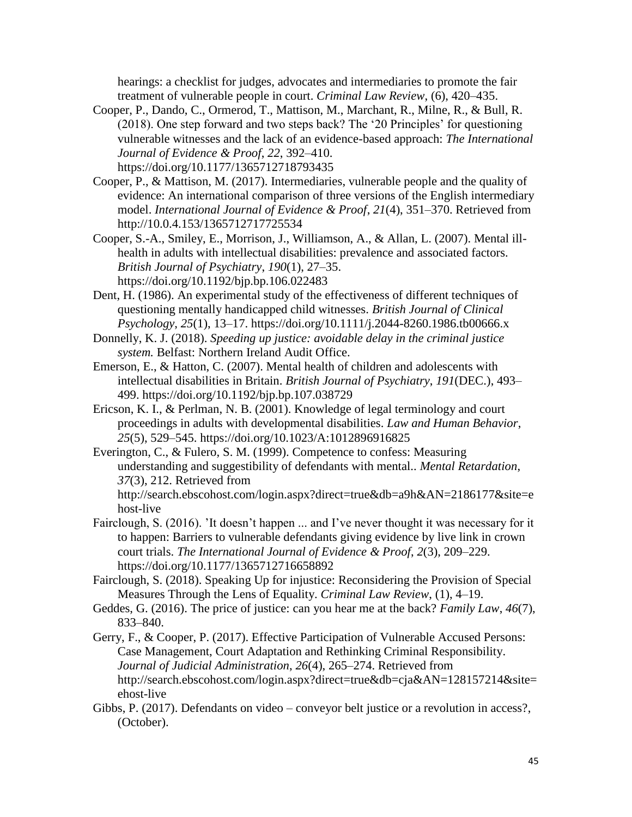hearings: a checklist for judges, advocates and intermediaries to promote the fair treatment of vulnerable people in court. *Criminal Law Review*, (6), 420–435.

- Cooper, P., Dando, C., Ormerod, T., Mattison, M., Marchant, R., Milne, R., & Bull, R. (2018). One step forward and two steps back? The '20 Principles' for questioning vulnerable witnesses and the lack of an evidence-based approach: *The International Journal of Evidence & Proof*, *22*, 392–410. https://doi.org/10.1177/1365712718793435
- Cooper, P., & Mattison, M. (2017). Intermediaries, vulnerable people and the quality of evidence: An international comparison of three versions of the English intermediary model. *International Journal of Evidence & Proof*, *21*(4), 351–370. Retrieved from http://10.0.4.153/1365712717725534
- Cooper, S.-A., Smiley, E., Morrison, J., Williamson, A., & Allan, L. (2007). Mental illhealth in adults with intellectual disabilities: prevalence and associated factors. *British Journal of Psychiatry*, *190*(1), 27–35. https://doi.org/10.1192/bjp.bp.106.022483
- Dent, H. (1986). An experimental study of the effectiveness of different techniques of questioning mentally handicapped child witnesses. *British Journal of Clinical Psychology*, *25*(1), 13–17. https://doi.org/10.1111/j.2044-8260.1986.tb00666.x
- Donnelly, K. J. (2018). *Speeding up justice: avoidable delay in the criminal justice system.* Belfast: Northern Ireland Audit Office.
- Emerson, E., & Hatton, C. (2007). Mental health of children and adolescents with intellectual disabilities in Britain. *British Journal of Psychiatry*, *191*(DEC.), 493– 499. https://doi.org/10.1192/bjp.bp.107.038729
- Ericson, K. I., & Perlman, N. B. (2001). Knowledge of legal terminology and court proceedings in adults with developmental disabilities. *Law and Human Behavior*, *25*(5), 529–545. https://doi.org/10.1023/A:1012896916825
- Everington, C., & Fulero, S. M. (1999). Competence to confess: Measuring understanding and suggestibility of defendants with mental.. *Mental Retardation*, *37*(3), 212. Retrieved from http://search.ebscohost.com/login.aspx?direct=true&db=a9h&AN=2186177&site=e host-live
- Fairclough, S. (2016). 'It doesn't happen ... and I've never thought it was necessary for it to happen: Barriers to vulnerable defendants giving evidence by live link in crown court trials. *The International Journal of Evidence & Proof*, *2*(3), 209–229. https://doi.org/10.1177/1365712716658892
- Fairclough, S. (2018). Speaking Up for injustice: Reconsidering the Provision of Special Measures Through the Lens of Equality. *Criminal Law Review*, (1), 4–19.
- Geddes, G. (2016). The price of justice: can you hear me at the back? *Family Law*, *46*(7), 833–840.
- Gerry, F., & Cooper, P. (2017). Effective Participation of Vulnerable Accused Persons: Case Management, Court Adaptation and Rethinking Criminal Responsibility. *Journal of Judicial Administration*, *26*(4), 265–274. Retrieved from http://search.ebscohost.com/login.aspx?direct=true&db=cja&AN=128157214&site= ehost-live
- Gibbs, P. (2017). Defendants on video conveyor belt justice or a revolution in access?, (October).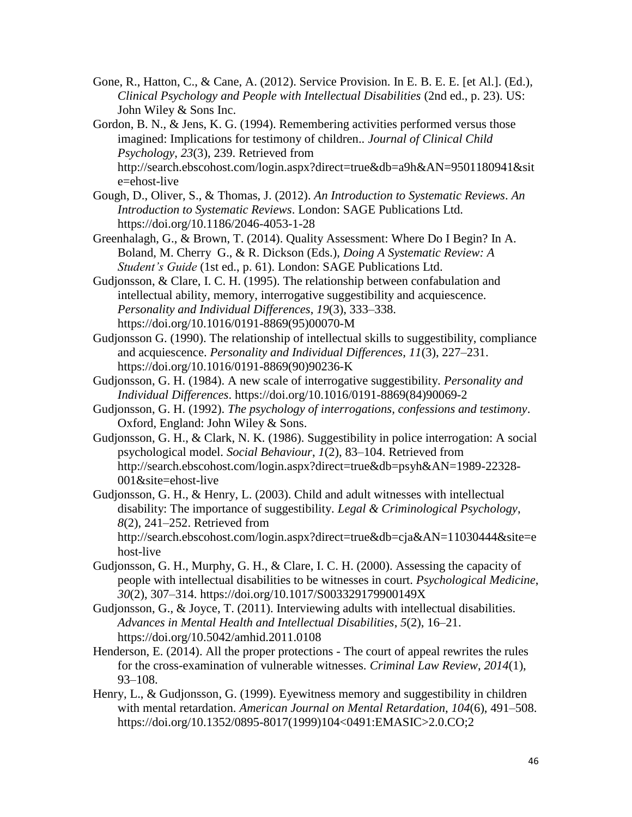Gone, R., Hatton, C., & Cane, A. (2012). Service Provision. In E. B. E. E. [et Al.]. (Ed.), *Clinical Psychology and People with Intellectual Disabilities* (2nd ed., p. 23). US: John Wiley & Sons Inc.

Gordon, B. N., & Jens, K. G. (1994). Remembering activities performed versus those imagined: Implications for testimony of children.. *Journal of Clinical Child Psychology*, *23*(3), 239. Retrieved from http://search.ebscohost.com/login.aspx?direct=true&db=a9h&AN=9501180941&sit e=ehost-live

Gough, D., Oliver, S., & Thomas, J. (2012). *An Introduction to Systematic Reviews*. *An Introduction to Systematic Reviews*. London: SAGE Publications Ltd. https://doi.org/10.1186/2046-4053-1-28

Greenhalagh, G., & Brown, T. (2014). Quality Assessment: Where Do I Begin? In A. Boland, M. Cherry G., & R. Dickson (Eds.), *Doing A Systematic Review: A Student's Guide* (1st ed., p. 61). London: SAGE Publications Ltd.

Gudjonsson, & Clare, I. C. H. (1995). The relationship between confabulation and intellectual ability, memory, interrogative suggestibility and acquiescence. *Personality and Individual Differences*, *19*(3), 333–338. https://doi.org/10.1016/0191-8869(95)00070-M

Gudjonsson G. (1990). The relationship of intellectual skills to suggestibility, compliance and acquiescence. *Personality and Individual Differences*, *11*(3), 227–231. https://doi.org/10.1016/0191-8869(90)90236-K

- Gudjonsson, G. H. (1984). A new scale of interrogative suggestibility. *Personality and Individual Differences*. https://doi.org/10.1016/0191-8869(84)90069-2
- Gudjonsson, G. H. (1992). *The psychology of interrogations, confessions and testimony*. Oxford, England: John Wiley & Sons.
- Gudjonsson, G. H., & Clark, N. K. (1986). Suggestibility in police interrogation: A social psychological model. *Social Behaviour*, *1*(2), 83–104. Retrieved from http://search.ebscohost.com/login.aspx?direct=true&db=psyh&AN=1989-22328- 001&site=ehost-live
- Gudjonsson, G. H., & Henry, L. (2003). Child and adult witnesses with intellectual disability: The importance of suggestibility. *Legal & Criminological Psychology*, *8*(2), 241–252. Retrieved from http://search.ebscohost.com/login.aspx?direct=true&db=cja&AN=11030444&site=e host-live
- Gudjonsson, G. H., Murphy, G. H., & Clare, I. C. H. (2000). Assessing the capacity of people with intellectual disabilities to be witnesses in court. *Psychological Medicine*, *30*(2), 307–314. https://doi.org/10.1017/S003329179900149X
- Gudjonsson, G., & Joyce, T. (2011). Interviewing adults with intellectual disabilities. *Advances in Mental Health and Intellectual Disabilities*, *5*(2), 16–21. https://doi.org/10.5042/amhid.2011.0108
- Henderson, E. (2014). All the proper protections The court of appeal rewrites the rules for the cross-examination of vulnerable witnesses. *Criminal Law Review*, *2014*(1), 93–108.
- Henry, L., & Gudjonsson, G. (1999). Eyewitness memory and suggestibility in children with mental retardation. *American Journal on Mental Retardation*, *104*(6), 491–508. https://doi.org/10.1352/0895-8017(1999)104<0491:EMASIC>2.0.CO;2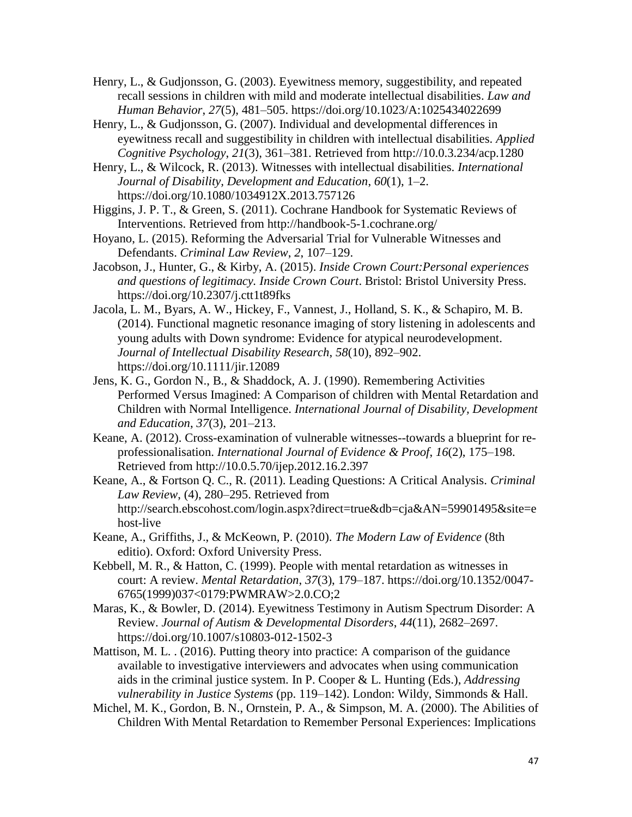- Henry, L., & Gudjonsson, G. (2003). Eyewitness memory, suggestibility, and repeated recall sessions in children with mild and moderate intellectual disabilities. *Law and Human Behavior*, *27*(5), 481–505. https://doi.org/10.1023/A:1025434022699
- Henry, L., & Gudjonsson, G. (2007). Individual and developmental differences in eyewitness recall and suggestibility in children with intellectual disabilities. *Applied Cognitive Psychology*, *21*(3), 361–381. Retrieved from http://10.0.3.234/acp.1280

Henry, L., & Wilcock, R. (2013). Witnesses with intellectual disabilities. *International Journal of Disability, Development and Education*, *60*(1), 1–2. https://doi.org/10.1080/1034912X.2013.757126

- Higgins, J. P. T., & Green, S. (2011). Cochrane Handbook for Systematic Reviews of Interventions. Retrieved from http://handbook-5-1.cochrane.org/
- Hoyano, L. (2015). Reforming the Adversarial Trial for Vulnerable Witnesses and Defendants. *Criminal Law Review*, *2*, 107–129.
- Jacobson, J., Hunter, G., & Kirby, A. (2015). *Inside Crown Court:Personal experiences and questions of legitimacy. Inside Crown Court*. Bristol: Bristol University Press. https://doi.org/10.2307/j.ctt1t89fks
- Jacola, L. M., Byars, A. W., Hickey, F., Vannest, J., Holland, S. K., & Schapiro, M. B. (2014). Functional magnetic resonance imaging of story listening in adolescents and young adults with Down syndrome: Evidence for atypical neurodevelopment. *Journal of Intellectual Disability Research*, *58*(10), 892–902. https://doi.org/10.1111/jir.12089
- Jens, K. G., Gordon N., B., & Shaddock, A. J. (1990). Remembering Activities Performed Versus Imagined: A Comparison of children with Mental Retardation and Children with Normal Intelligence. *International Journal of Disability, Development and Education*, *37*(3), 201–213.
- Keane, A. (2012). Cross-examination of vulnerable witnesses--towards a blueprint for reprofessionalisation. *International Journal of Evidence & Proof*, *16*(2), 175–198. Retrieved from http://10.0.5.70/ijep.2012.16.2.397
- Keane, A., & Fortson Q. C., R. (2011). Leading Questions: A Critical Analysis. *Criminal Law Review*, (4), 280–295. Retrieved from http://search.ebscohost.com/login.aspx?direct=true&db=cja&AN=59901495&site=e host-live
- Keane, A., Griffiths, J., & McKeown, P. (2010). *The Modern Law of Evidence* (8th editio). Oxford: Oxford University Press.
- Kebbell, M. R., & Hatton, C. (1999). People with mental retardation as witnesses in court: A review. *Mental Retardation*, *37*(3), 179–187. https://doi.org/10.1352/0047- 6765(1999)037<0179:PWMRAW>2.0.CO;2
- Maras, K., & Bowler, D. (2014). Eyewitness Testimony in Autism Spectrum Disorder: A Review. *Journal of Autism & Developmental Disorders*, *44*(11), 2682–2697. https://doi.org/10.1007/s10803-012-1502-3
- Mattison, M. L. . (2016). Putting theory into practice: A comparison of the guidance available to investigative interviewers and advocates when using communication aids in the criminal justice system. In P. Cooper & L. Hunting (Eds.), *Addressing vulnerability in Justice Systems* (pp. 119–142). London: Wildy, Simmonds & Hall.
- Michel, M. K., Gordon, B. N., Ornstein, P. A., & Simpson, M. A. (2000). The Abilities of Children With Mental Retardation to Remember Personal Experiences: Implications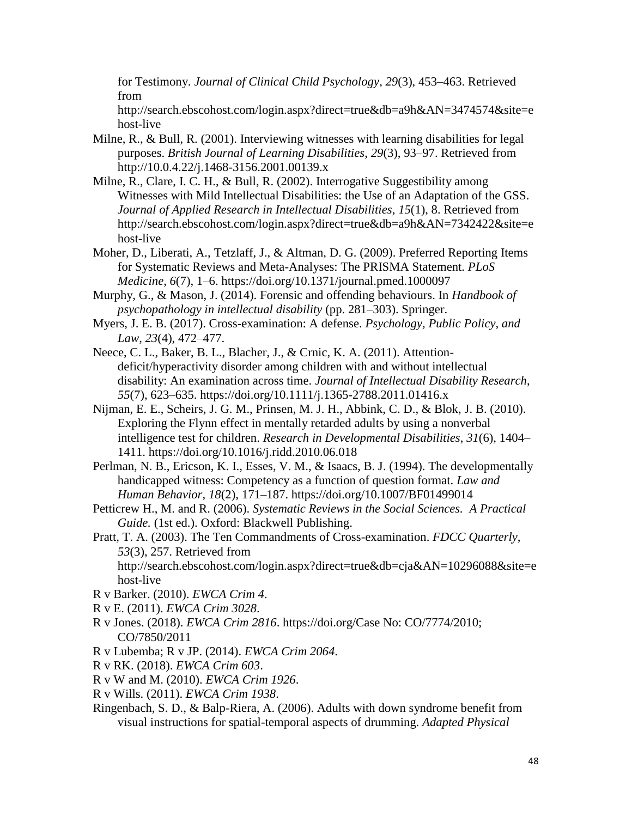for Testimony. *Journal of Clinical Child Psychology*, *29*(3), 453–463. Retrieved from

http://search.ebscohost.com/login.aspx?direct=true&db=a9h&AN=3474574&site=e host-live

- Milne, R., & Bull, R. (2001). Interviewing witnesses with learning disabilities for legal purposes. *British Journal of Learning Disabilities*, *29*(3), 93–97. Retrieved from http://10.0.4.22/j.1468-3156.2001.00139.x
- Milne, R., Clare, I. C. H., & Bull, R. (2002). Interrogative Suggestibility among Witnesses with Mild Intellectual Disabilities: the Use of an Adaptation of the GSS. *Journal of Applied Research in Intellectual Disabilities*, *15*(1), 8. Retrieved from http://search.ebscohost.com/login.aspx?direct=true&db=a9h&AN=7342422&site=e host-live
- Moher, D., Liberati, A., Tetzlaff, J., & Altman, D. G. (2009). Preferred Reporting Items for Systematic Reviews and Meta-Analyses: The PRISMA Statement. *PLoS Medicine*, *6*(7), 1–6. https://doi.org/10.1371/journal.pmed.1000097
- Murphy, G., & Mason, J. (2014). Forensic and offending behaviours. In *Handbook of psychopathology in intellectual disability* (pp. 281–303). Springer.
- Myers, J. E. B. (2017). Cross-examination: A defense. *Psychology, Public Policy, and Law*, *23*(4), 472–477.
- Neece, C. L., Baker, B. L., Blacher, J., & Crnic, K. A. (2011). Attentiondeficit/hyperactivity disorder among children with and without intellectual disability: An examination across time. *Journal of Intellectual Disability Research*, *55*(7), 623–635. https://doi.org/10.1111/j.1365-2788.2011.01416.x
- Nijman, E. E., Scheirs, J. G. M., Prinsen, M. J. H., Abbink, C. D., & Blok, J. B. (2010). Exploring the Flynn effect in mentally retarded adults by using a nonverbal intelligence test for children. *Research in Developmental Disabilities*, *31*(6), 1404– 1411. https://doi.org/10.1016/j.ridd.2010.06.018
- Perlman, N. B., Ericson, K. I., Esses, V. M., & Isaacs, B. J. (1994). The developmentally handicapped witness: Competency as a function of question format. *Law and Human Behavior*, *18*(2), 171–187. https://doi.org/10.1007/BF01499014
- Petticrew H., M. and R. (2006). *Systematic Reviews in the Social Sciences. A Practical Guide.* (1st ed.). Oxford: Blackwell Publishing.
- Pratt, T. A. (2003). The Ten Commandments of Cross-examination. *FDCC Quarterly*, *53*(3), 257. Retrieved from http://search.ebscohost.com/login.aspx?direct=true&db=cja&AN=10296088&site=e host-live
- R v Barker. (2010). *EWCA Crim 4*.
- R v E. (2011). *EWCA Crim 3028*.
- R v Jones. (2018). *EWCA Crim 2816*. https://doi.org/Case No: CO/7774/2010; CO/7850/2011
- R v Lubemba; R v JP. (2014). *EWCA Crim 2064*.
- R v RK. (2018). *EWCA Crim 603*.
- R v W and M. (2010). *EWCA Crim 1926*.
- R v Wills. (2011). *EWCA Crim 1938*.
- Ringenbach, S. D., & Balp-Riera, A. (2006). Adults with down syndrome benefit from visual instructions for spatial-temporal aspects of drumming. *Adapted Physical*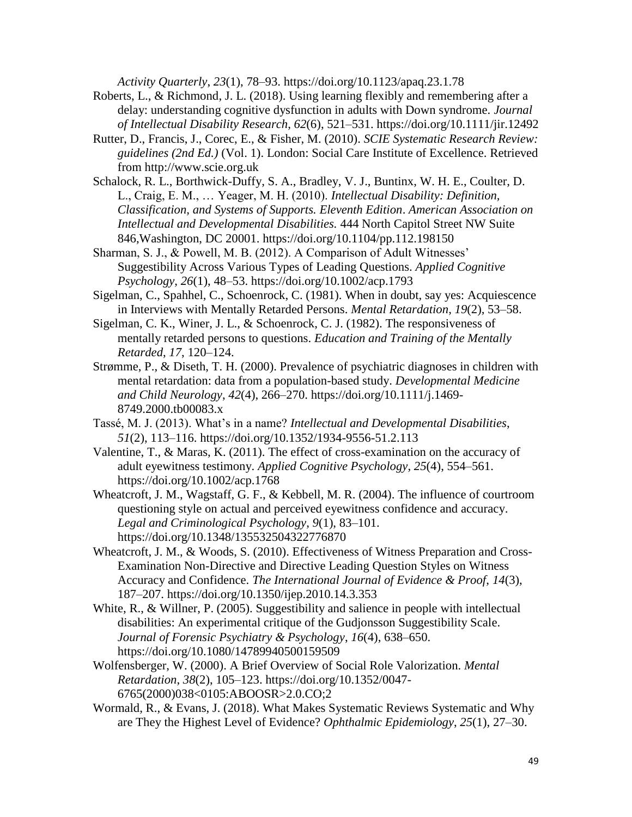*Activity Quarterly*, *23*(1), 78–93. https://doi.org/10.1123/apaq.23.1.78

- Roberts, L., & Richmond, J. L. (2018). Using learning flexibly and remembering after a delay: understanding cognitive dysfunction in adults with Down syndrome. *Journal of Intellectual Disability Research*, *62*(6), 521–531. https://doi.org/10.1111/jir.12492
- Rutter, D., Francis, J., Corec, E., & Fisher, M. (2010). *SCIE Systematic Research Review: guidelines (2nd Ed.)* (Vol. 1). London: Social Care Institute of Excellence. Retrieved from http://www.scie.org.uk
- Schalock, R. L., Borthwick-Duffy, S. A., Bradley, V. J., Buntinx, W. H. E., Coulter, D. L., Craig, E. M., … Yeager, M. H. (2010). *Intellectual Disability: Definition, Classification, and Systems of Supports. Eleventh Edition*. *American Association on Intellectual and Developmental Disabilities.* 444 North Capitol Street NW Suite 846,Washington, DC 20001. https://doi.org/10.1104/pp.112.198150
- Sharman, S. J., & Powell, M. B. (2012). A Comparison of Adult Witnesses' Suggestibility Across Various Types of Leading Questions. *Applied Cognitive Psychology*, *26*(1), 48–53. https://doi.org/10.1002/acp.1793
- Sigelman, C., Spahhel, C., Schoenrock, C. (1981). When in doubt, say yes: Acquiescence in Interviews with Mentally Retarded Persons. *Mental Retardation*, *19*(2), 53–58.
- Sigelman, C. K., Winer, J. L., & Schoenrock, C. J. (1982). The responsiveness of mentally retarded persons to questions. *Education and Training of the Mentally Retarded*, *17*, 120–124.
- Strømme, P., & Diseth, T. H. (2000). Prevalence of psychiatric diagnoses in children with mental retardation: data from a population-based study. *Developmental Medicine and Child Neurology*, *42*(4), 266–270. https://doi.org/10.1111/j.1469- 8749.2000.tb00083.x
- Tassé, M. J. (2013). What's in a name? *Intellectual and Developmental Disabilities*, *51*(2), 113–116. https://doi.org/10.1352/1934-9556-51.2.113
- Valentine, T., & Maras, K. (2011). The effect of cross-examination on the accuracy of adult eyewitness testimony. *Applied Cognitive Psychology*, *25*(4), 554–561. https://doi.org/10.1002/acp.1768
- Wheatcroft, J. M., Wagstaff, G. F., & Kebbell, M. R. (2004). The influence of courtroom questioning style on actual and perceived eyewitness confidence and accuracy. *Legal and Criminological Psychology*, *9*(1), 83–101. https://doi.org/10.1348/135532504322776870
- Wheatcroft, J. M., & Woods, S. (2010). Effectiveness of Witness Preparation and Cross-Examination Non-Directive and Directive Leading Question Styles on Witness Accuracy and Confidence. *The International Journal of Evidence & Proof*, *14*(3), 187–207. https://doi.org/10.1350/ijep.2010.14.3.353
- White, R., & Willner, P. (2005). Suggestibility and salience in people with intellectual disabilities: An experimental critique of the Gudjonsson Suggestibility Scale. *Journal of Forensic Psychiatry & Psychology*, *16*(4), 638–650. https://doi.org/10.1080/14789940500159509
- Wolfensberger, W. (2000). A Brief Overview of Social Role Valorization. *Mental Retardation*, *38*(2), 105–123. https://doi.org/10.1352/0047- 6765(2000)038<0105:ABOOSR>2.0.CO;2
- Wormald, R., & Evans, J. (2018). What Makes Systematic Reviews Systematic and Why are They the Highest Level of Evidence? *Ophthalmic Epidemiology*, *25*(1), 27–30.